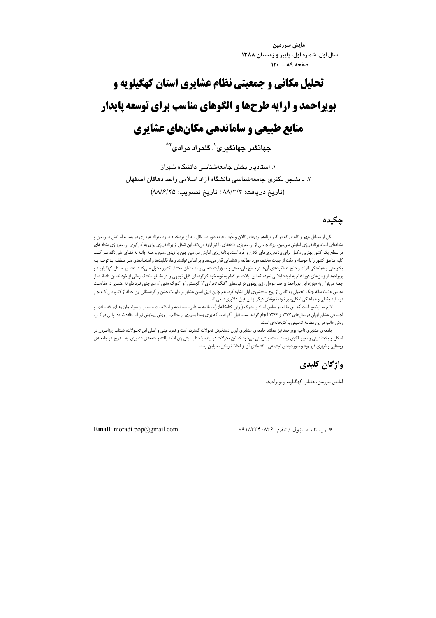آمايش سرزمين سال اول، شماره اول، پاییز و زمستان ۱۳۸۸ صفحه ٨٩ ـ ١٢٠

# تحلیل مکانی و حمعیتی نظام عشایری استان کهگیلویه و بویراحمد و ارایه طرحها و الگوهای مناسب برای توسعه پایدار منابع طبیعی و ساماندهی مکانهای عشایری

جهانگیر جهانگیری'، گلمراد مرادی<sup>۲</sup>\*

۱. استادبار بخش حامعهشناسی دانشگاه شیر از ۲. دانشجو دکتری جامعهشناسی دانشگاه آزاد اسلامی واحد دهاقان اصفهان (تاريخ دريافت: ٨٨/٣/٣ ؛ تاريخ تصويب: ٨٨/٦/٢٥)

# حكىدە

یکی از مسایل مهم و کلیدی که در کنار برنامهریزیهای کلان و خُرد باید به طور مسـتقل بـه أن پرداختـه شـود ، برنامـهریـزی در زمینـه آمـایش سـرزمین و منطقهای است. برنامهریزی آمایش سرزمین، روند جامعی از برنامهریزی منطقهای را نیز ارایه میکند. این شکل از برنامهریزی برای به کارگیری برنامهریـزی منطقـهای در سطح یک کشور بهترین مکمل برای برنامهریزیهای کلان و خُرد است. برنامهریزی آمایش سرزمین چون با دیدی وسیع و همه جانبه به فضای ملی نگاه مـیکنـد، کلیه مناطق کشور را با حوصله و دقت از جهات مختلف مورد مطالعه و شناسایی قرار میدهد و بر اساس توانمندیها، قابلیتها و استعدادهای هـر منطقـه بـا توجـه بـه یکنواختی و هماهنگی اثرات و نتایج عملکردهای آنها در سطح ملی، نقش و مسؤولیت خاصی را به مناطق مختلف کشور محوّل مـی کنـد. عشـایر اسـتان کهگیلویـه و بویراحمد از زمان های دور اقدام به ایجاد ایلاتی نموده که این ایلات هر کدام به نوبه خود کارکردهای قابل توجهی را در مقاطع مختلف زمانی از خود نشـان دادهانـد. از جمله می توان به مبارزه ایل بویراحمد بر ضد عوامل رژیم پهلوی در نبردهای "تنگ تامرادی"،"گجستان"و "دورگ مدین"و هم چنین نبرد دلیرانه عشـایر در مقاومـت مقدس هشت ساله جنگ تحمیلی به تأسی از روح سلحشوری ایلی اشاره کرد. هم چنین فایق آمدن عشایر بر طبیعت خشن و کوهستانی این خطه از کشورمان کـه جـز در سایه یکدلی و هماهنگی امکانپذیر نبود، نمونهای دیگر از این قبیل دلاوریها میباشد.

لازم به توضیح است که این مقاله بر اساس اسناد و مدارک (روش کتابخانهای)، مطالعه میـدانی، مصـاحبه و اطلاعـات حاصـل از سرشـماریهـای اقتصـادی و اجتماعی عشایر ایران در سالهای ۱۳۷۷ و ۱۳۶۶ انجام گرفته است. قابل ذکر است که برای بسط بسیاری از مطالب از روش پیمایش نیز استفاده شده، ولی در کل، روش غالب در این مطالعه توصیفی و کتابخانهای است.

جامعهی عشایری ناحیه بویراحمد نیز همانند جامعهی عشایری ایران دستخوش تحولات گسترده است و نمود عینی و اصلی این تحـولات، شـتاب روزافـزون در اسکان و یکجانشینی و تغییر الگوی زیست است، پیش بینی میشود که این تحولات در أینده با شتاب بیش تری ادامه یافته و جامعهی عشایری، به تـدریج در جامعـهی روستایی و شهری فرو رود و صورتبندی اجتماعی ـ اقتصادی آن از لحاظ تاریخی به پایان رسد.

# واژگان کلیدی

آمایش سرزمین، عشایر، کهگیلویه و بویراحمد.

\* نويسنده مسؤول / تلفن: ٠٩١٨٣٣٢٠٨٣۶

Email: moradi.pop@gmail.com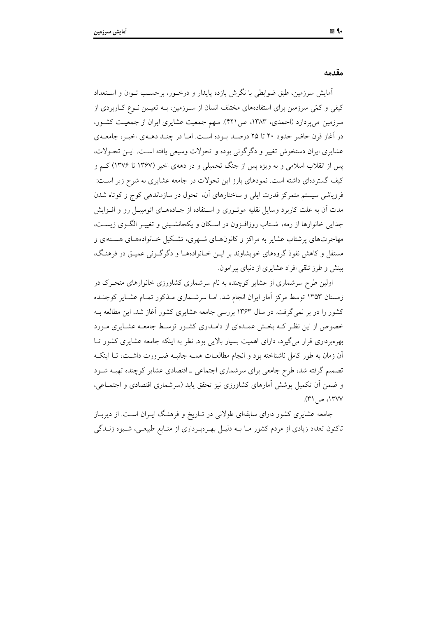مقدمه

آمایش سرزمین، طبق ضوابطی با نگرش بازده پایدار و درخـور، برحسـب تـوان و اسـتعداد کیفی و کمّی سرزمین برای استفادههای مختلف انسان از سـرزمین، بــه تعیــین نــوع کــاربردی از سرزمین می پردازد (احمدی، ۱۳۸۳، ص۴۲۱). سهم جمعیت عشایری ایران از جمعیت کشور، در آغاز قرن حاضر حدود ۲۰ تا ۲۵ درصد بوده است. امـا در چنـد دهـهى اخيـر، جامعـهى عشايري ايران دستخوش تغيير و دگر گوني بوده و تحولات وسيعي يافته است. ايـن تحـولات، یس از انقلاب اسلامی و به ویژه پس از جنگ تحمیلی و در دههی اخیر (۱۳۶۷ تا ۱۳۷۶) کــم و کیف گستردهای داشته است. نمودهای بارز این تحولات در جامعه عشایری به شرح زیر اسـت: فرویاشی سیستم متمرکز قدرت ایلی و ساختارهای آن، تحول در سازماندهی کوچ و کوتاه شدن مدت آن به علت کاربرد وسایل نقلیه موتـوری و اسـتفاده از جـادههــای اتومبیــل رو و افــزایش جدایی خانوارها از رمه، شـتاب روزافـزون در اسـکان و یکجانشـینی و تغییـر الگـوی زیسـت، مهاجرتهای پرشتاب عشایر به مراکز و کانونهـای شـهری، تشـکیل خـانوادههـای هسـتهای و مستقل و کاهش نفوذ گروههای خویشاوند بر ایـن خـانوادههـا و دگر گـونی عمیـق در فرهنـگ، بینش و طرز تلقی افراد عشایری از دنیای پیرامون.

اولین طرح سرشماری از عشایر کوچنده به نام سرشماری کشاورزی خانوارهای متحـرک در زمستان ۱۳۵۳ توسط مرکز اَمار ایران انجام شد. امــا سرشــماری مــذکور تمــام عشــایر کوچنــده کشور را در بر نمیگرفت. در سال ۱۳۶۳ بررسی جامعه عشایری کشور آغاز شد، این مطالعه بـه خصوص از این نظیر کـه بخـش عمـدهای از دامـداری کشـور توسـط جامعـه عشـایری مـورد بهرهبرداری قرار میگیرد، دارای اهمیت بسیار بالایی بود. نظر به اینکه جامعه عشایری کشور تـا اّن زمان به طور کامل ناشناخته بود و انجام مطالعـات همـه جانبـه ضـرورت داشـت، تـا اينکـه تصمیم گرفته شد، طرح جامعی برای سرشماری اجتماعی ـ اقتصادی عشایر کوچنده تهیـه شـود و ضمن أن تكميل يوشش أمارهاي كشاورزي نيز تحقق پايد (سرشماري اقتصادي و اجتمــاعي، ١٣٧٧، ص ٣١).

جامعه عشایری کشور دارای سابقهای طولانی در تـاریخ و فرهنـگ ایـران اسـت. از دیربـاز تاکنون تعداد زیادی از مردم کشور مــا بــه دلیــل بهـرهبـرداری از منــابع طبیعــی، شــیوه زنــدگی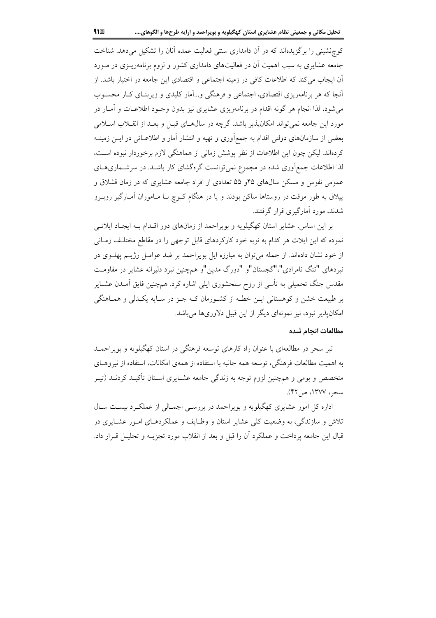کوچنشینی را برگزیدهاند که در آن دامداری سنتی فعالیت عمده آنان را تشکیل میدهد. شناخت جامعه عشایری به سبب اهمیت آن در فعالیتهای دامداری کشور و لزوم برنامهریـزی در مـورد آن ایجاب می کند که اطلاعات کافی در زمینه اجتماعی و اقتصادی این جامعه در اختیار باشد. از آنجا که هر برنامهریزی اقتصادی، اجتماعی و فرهنگی و…آمار کلیدی و زیربنـای کــار محســوب می شود، لذا انجام هر گونه اقدام در برنامهریزی عشایری نیز بدون وجـود اطلاعـات و آمـار در مورد این جامعه نمیتواند امکانپذیر باشد. گرچه در سال هـای قبـل و بعـد از انقـلاب اسـلامی بعضی از سازمانهای دولتی اقدام به جمع|وری و تهیه و انتشار اَمار و اطلاعــاتی در ایــن زمینــه كردهاند. ليكن چون اين اطلاعات از نظر پوشش زماني از هماهنگي لازم برخوردار نبوده است، لذا اطلاعات جمع آوری شده در مجموع نمی توانست گرهگشای کار باشـد. در سرشـماریهـای عمومی نفوس و مسکن سال های ۴۵ و ۵۵ تعدادی از افراد جامعه عشایری که در زمان قشلاق و پیلاق به طور موقت در روستاها ساکن بودند و یا در هنگام کــوچ بــا مــاموران آمــارگیر روبــرو شدند، مورد آمارگیری قرار گرفتند.

بر این اساس، عشایر استان کهگیلویه و بویراحمد از زمانهای دور اقلدام بـه ایجـاد ایلاتـی نموده که این ایلات هر کدام به نوبه خود کارکردهای قابل توجهی را در مقاطع مختلف زمـانی از خود نشان دادهاند. از جمله می توان به مبارزه ایل بو پراحمد بر ضد عوامـل رژیــم پهلــوی در نبردهای "تنگ تامرادی"،"گجستان"و "دورگ مدین"و همچنین نبرد دلیرانه عشایر در مقاومت مقدس جنگ تحمیلی به تأسی از روح سلحشوری ایلی اشاره کرد. همچنین فایق آمـدن عشــایر بر طبیعت خشن و کوهستانی ایــن خطـه از کشـورمان کــه جــز در ســایه یکــدلی و همــاهنگی امکان پذیر نبود، نیز نمونهای دیگر از این قبیل دلاوریها می باشد.

#### مطالعات انحام شده

تیر سحر در مطالعهای با عنوان راه کارهای توسعه فرهنگی در استان کهگیلویه و بویراحمـد به اهمیت مطالعات فرهنگی، توسعه همه جانبه با استفاده از همهی امکانات، استفاده از نیروهـای متخصص و بومی و همچنین لزوم توجه به زندگی جامعه عشـایری اسـتان تأکیـد کردنـد (تیـر سحر، ١٣٧٧، ص ٤٢).

اداره کل امور عشایری کهگیلویه و بویراحمد در بررسے اجمالی از عملک دیست سال تلاش و سازندگی، به وضعیت کلی عشایر استان و وظـایف و عملکردهـای امـور عشـایری در قبال این جامعه یرداخت و عملکرد آن را قبل و بعد از انقلاب مورد تجزیــه و تحلیــل قــرار داد.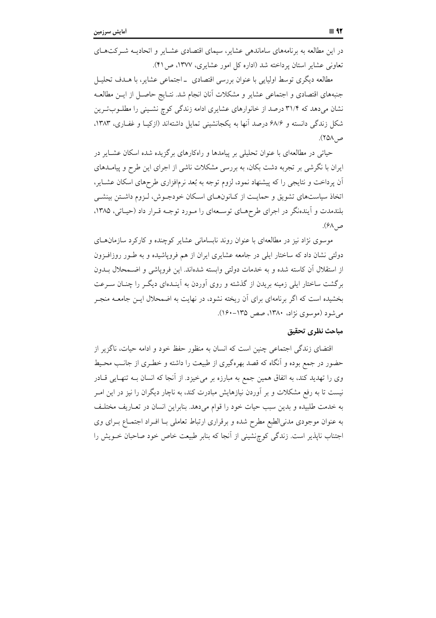در این مطالعه به برنامههای ساماندهی عشایر، سیمای اقتصادی عشـایر و اتحادیــه شــرکت۱عای تعاونی عشایر استان پرداخته شد (اداره کل امور عشایری، ۱۳۷۷، ص۱۴).

مطالعه دیگری توسط اولیایی با عنوان بررسی اقتصادی ــ اجتماعی عشایر، با هــدف تحلیــل جنبههای اقتصادی و اجتماعی عشایر و مشکلات آنان انجام شد. نتـایج حاصــل از ایــن مطالعــه نشان میدهد که ۳۱/۴ درصد از خانوارهای عشایری ادامه زندگی کوچ نشـینی را مطلـوبتـرین شکل زندگی دانسته و ۶۸/۶ درصد آنها به یکجانشینی تمایل داشتهاند (ازکیــا و غفــاری، ۱۳۸۳. ص ٢۵٨).

حیاتی در مطالعهای با عنوان تحلیلی بر پیامدها و راهکارهای برگزیده شده اسکان عشـایر در یران با نگرشی بر تجربه دشت بکان، به بررسی مشکلات ناشی از اجرای این طرح و پیامــدهای ان پرداخت و نتایجی را که پیشنهاد نمود، لزوم توجه به بُعد نرم|فزاری طرحهای اسکان عشــایر، اتخاذ سیاستهای تشویق و حمایـت از کـانونهـای اسـکان خودجــوش، لــزوم داشــتن بینشــی بلندمدت و ایندهنگر در اجرای طرحهـای توسـعهای را مـورد توجـه قـرار داد (حیـاتی، ۱۳۸۵، ص ۶۸).

موسوی نژاد نیز در مطالعهای با عنوان روند نابسامانی عشایر کوچنده و کارکرد سازمانهــای دولتی نشان داد که ساختار ایلی در جامعه عشایری ایران از هم فروپاشیده و به طــور روزافــزون از استقلال ان کاسته شده و به خدمات دولتی وابسته شدهاند. این فروپاشی و اضــمحلال بــدون برگشت ساختار ایلی زمینه بریدن از گذشته و روی اوردن به اینــدهای دیگــر را چنــان ســرعت بخشیده است که اگر برنامهای برای آن ریخته نشود، در نهایت به اضمحلال ایــن جامعــه منجــر می شود (موسوی نژاد، ۱۳۸۰، صص ۱۳۵–۱۶۰).

### مباحث نظرى تحقيق

اقتضای زندگی اجتماعی چنین است که انسان به منظور حفظ خود و ادامه حیات، ناگزیر از حضور در جمع بوده و أنگاه كه قصد بهرهگیری از طبیعت را داشته و خطـری از جانـب محـیط وی را تهدید کند، به اتفاق همین جمع به مبارزه بر میخیزد. از انجا که انسان بــه تنهــایی قــادر نیست تا به رفع مشکلات و بر اوردن نیازهایش مبادرت کند. به ناچار دیگران را نیز در این امـر به خدمت طلبیده و بدین سبب حیات خود را قوام میدهد. بنابراین انسان در تعــاریف مختلــف به عنوان موجودي مدني الطبع مطرح شده و برقراري ارتباط تعاملي بـا افـراد اجتمـاع بـراي وي اجتناب ناپذیر است. زندگی کوچ;شینی از انجا که بنابر طبیعت خاص خود صاحبان خــویش را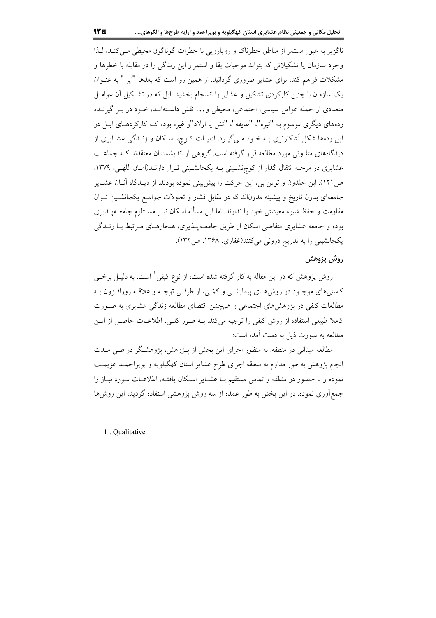ناگزیر به عبور مستمر از مناطق خطرناک و رویارویی با خطرات گوناگون محیطی مبی کنـد، لـذا وجود سازمان یا تشکیلاتی که بتواند موجبات بقا و استمرار این زندگی را در مقابله با خطرها و مشکلات فراهم کند، برای عشایر ضروری گردانید. از همین رو است که بعدها "ایل" به عنـوان یک سازمان با چنین کارکردی تشکیل و عشایر را انسجام بخشید. ایل که در تشکیل آن عوامـل متعددی از جمله عوامل سیاسی، اجتماعی، محیطی و… نقش داشـتهانـد، خـود در بـر گیرنـده ردههای دیگری موسوم به "تیره"، "طایفه"، "تش یا اولاد"و غیره بوده کـه کارکردهـای ایــل در این ردهها شکل آشکارتری بـه خـود مـی&یـرد. ادبیـات کـوچ، اسـکان و زنـدگی عشـایری از دیدگاههای متفاوتی مورد مطالعه قرار گرفته است. گروهی از اندیشمندان معتقدند کـه جماعـت عشایری در مرحله انتقال گذار از کوچنشینی بـه یکجانشـینی قـرار دارنـد(امـان اللهـی، ۱۳۷۹، ص ١٢١). ابن خلدون و توين بي، اين حركت را پيش بيني نموده بودند. از ديـدگاه آنــان عشــاير جامعهای بدون تاریخ و پیشینه مدوناند که در مقابل فشار و تحولات جوامـع یکجانشـین تـوان مقاومت و حفظ شیوه معیشتی خود را ندارند. اما این مسأله اسکان نیـز مســتلزم جامعــهیــذیری بوده و جامعه عشایری متقاضی اسکان از طریق جامعـهپــذیری، هنجارهــای مــرتبط بــا زنــدگی یکجانشینی را به تدریج درونی میکنند(غفاری، ۱۳۶۸، ص۱۳۲).

## روش پژوهش

روش پژوهش که در این مقاله به کار گرفته شده است، از نوع کیفی  $'$  است. به دلیــل برخــی کاستی های موجـود در روش هـای پیمایشــی و کمّــی، از طرفــی توجــه و علاقــه روزافــزون بــه مطالعات کیفی در پژوهشهای اجتماعی و همچنین اقتضای مطالعه زندگی عشایری به صـورت کاملا طبیعی استفاده از روش کیفی را توجیه می کند. بــه طــور کلــی، اطلاعــات حاصــل از ایــن مطالعه به صورت ذیل به دست آمده است:

مطالعه میدانی در منطقه: به منظور اجرای این بخش از پـژوهش، پژوهشـگر در طـی مـدت انجام پژوهش به طور مداوم به منطقه اجرای طرح عشایر استان کهگیلویه و بویراحمـد عزیمـت نموده و با حضور در منطقه و تماس مستقیم بـا عشـایر اسـکان یافتـه، اطلاعـات مـورد نیـاز را جمع آوری نموده. در این بخش به طور عمده از سه روش پژوهشی استفاده گردید، این روشها

1. Oualitative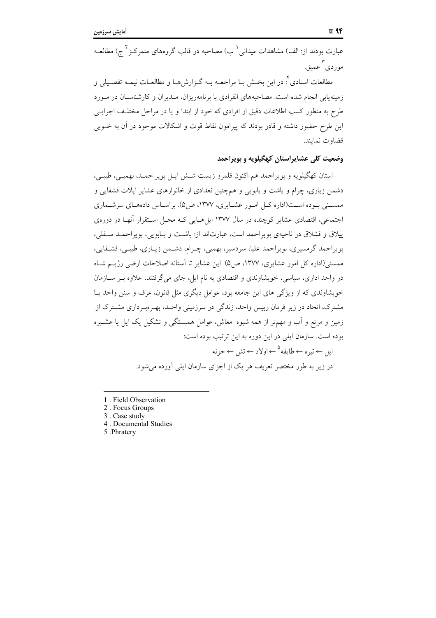عبارت بودند از: الف) مشاهدات میدان<sub>ی</sub> <sup>(</sup> ب) مصاحبه در قالب گروههای متمرکـز <sup>۲</sup> ج) مطالعــه ۳<br>موردی عمیق.

مطالعات اسنادی<sup>۴</sup>. در این بخــش بــا مراجعــه بــه گــزارشهــا و مطالعــات نیمــه تفصــیلی و زمینهٔیابی انجام شده است. مصاحبههای انفرادی با برنامهریزان، مـدیران و کارشناسـان در مـورد طرِح به منظور کسب اطلاعات دقیق از افرادی که خود از ابتدا و یا در مراحل مختلـف اجرایــی این طرح حضور داشته و قادر بودند که پیرامون نقاط قوت و اشکالات موجود در آن به خــوبی قضاوت نمايند.

### **وضعیت کلی عشایراستان کهگیلویه و بویراحمد**

استان کهگیلویه و بویراحمد هم اکنون قلمرو زیست شــش ایــل بویراحمــد، بهمیــی، طیبــی، دشمن زیاری، چرام و باشت و بابویی و همچنین تعدادی از خانوارهای عشایر ایلات قشقایی و ممســني بــوده اســت(اداره كــل امــور عشــايري، ١٣٧٧، ص۵). براســاس دادههــاي سرشــماري اجتماعی، اقتصادی عشایر کوچنده در سال ۱۳۷۷ ایل۱هـایی کــه محــل اســتقرار انهــا در دوره،ی ییلاق و قشلاق در ناحیهی بویراحمد است، عبارتاند از: باشــت و بــابویی، بویراحمــد ســفلی، بویراحمد گرمسیری، بویراحمد علیا، سردسیر، بهمیی، چـرام، دشــمن زیــاری، طیبــی، قشــقایی، ممسنی(اداره کل امور عشایری، ۱۳۷۷، ص۵). این عشایر تا استانه اصلاحات ارضی رژیــم شــاه در واحد اداری، سیاسی، خویشاوندی و اقتصادی به نام ایل، جای میگرفتند. علاوه بــر ســازمان خویشاوندی که از ویژگی های این جامعه بود، عوامل دیگری مثل قانون، عرف و سنن واحد یــا مشترک، اتحاد در زیر فرمان رییس واحد، زندگی در سرزمینی واحـد، بهـرهبـرداری مشــترک از زمین و مرتع و اب و مهم;تر از همه شیوه ًمعاش، عوامل همبستگی و تشکیل یک ایل یا عشــیره بوده است. سازمان ایلی در این دوره به این ترتیب بوده است:

ایل ← تیرہ ← طایفه <sup>۵</sup> ← اولاد ← تش ← حونه در زیر به طور مختصر تعریف هر یک از اجزای سازمان ایلی اورده میشود.

- 1. Field Observation
- 2. Focus Groups
- 3. Case study
- 4 . Documental Studies
- 5 .Phratery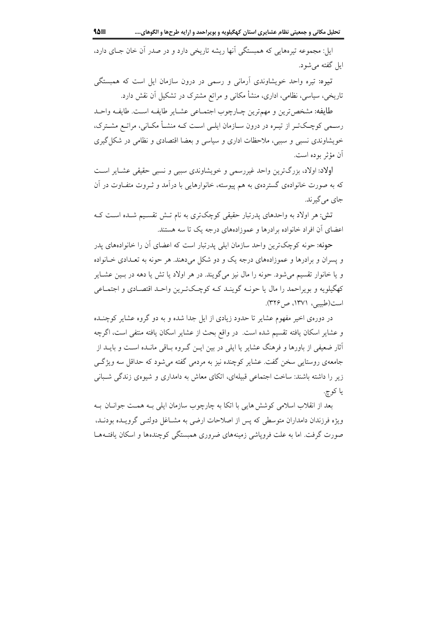ایل: مجموعه تیرههایی که همبستگی آنها ریشه تاریخی دارد و در صدر آن خان جــای دارد، ایل گفته می شود.

<mark>تیره:</mark> تیره واحد خویشاوندی اَرمان<sub>ی</sub> و رسمی در درون سازمان ایل است که همبستگی تاریخی، سیاسی، نظامی، اداری، منشأ مکانی و مراتع مشترک در تشکیل آن نقش دارد.

طايفه: مشخص ترين و مهم ترين چــارچوب اجتمــاعي عشــاير طايفــه اســت. طايفــه واحــد رسـمی کوچـکتـر از تیـره در درون ســازمان ایلــی اســت کــه منشــأ مکــانی، مراتــع مشــترک، خویشاوندی نسبی و سببی، ملاحظات اداری و سیاسی و بعضا اقتصادی و نظامی در شکل گیری أن مؤثر بوده است.

اولاد: اولاد، بزرگترین واحد غیررسمی و خویشاوندی سببی و نسبی حقیقی عشـایر اسـت که به صورت خانوادهی گستردهی به هم پیوسته، خانوارهایی با درآمد و ثـروت متفـاوت در آن جاي مي گيرند.

تش: هر اولاد به واحدهای پدرتبار حقیقی کوچکتری به نام تـش تقسـیم شـده اسـت کـه اعضای آن افراد خانواده برادرها و عموزادههای درجه یک تا سه هستند.

حونه: حونه کوچکترین واحد سازمان ایلی پدرتبار است که اعضای آن را خانوادههای پدر و پسران و برادرها و عموزادههای درجه یک و دو شکل میدهند. هر حونه به تعـدادی خـانواده و یا خانوار تقسیم می شود. حونه را مال نیز می گویند. در هر اولاد یا تش یا دهه در بسین عشبایر کهگیلویه و بویراحمد را مال یا حونـه گوینـد کـه کوچـکتـرین واحـد اقتصـادی و اجتمـاعی است(طبیبی، ۱۳۷۱، ص ۳۲۶).

در دورهی اخیر مفهوم عشایر تا حدود زیادی از ایل جدا شده و به دو گروه عشایر کوچنـده و عشاير اسكان يافته تقسيم شده است. در واقع بحث از عشاير اسكان يافته منتفى است، اگرچه آثار ضعیفی از باورها و فرهنگ عشایر یا ایلی در بین ایــن گــروه بــاقی مانــده اســت و بایــد از جامعهی روستایی سخن گفت. عشایر کوچنده نیز به مردمی گفته می شود که حداقل سه ویژگی زیر را داشته باشند: ساخت اجتماعی قبیلهای، اتکای معاش به دامداری و شیوهی زندگی شـبانی يا کوچ.

بعد از انقلاب اسلامی کوشش هایی با اتکا به چارچوب سازمان ایلی بـه همـت جوانــان بــه ویژه فرزندان دامداران متوسطی که پس از اصلاحات ارضی به مشــاغل دولتــی گرویــده بودنــد، صورت گرفت. اما به علت فرویاشی زمینههای ضروری همبستگی کوچندهها و اسکان یافتـههـا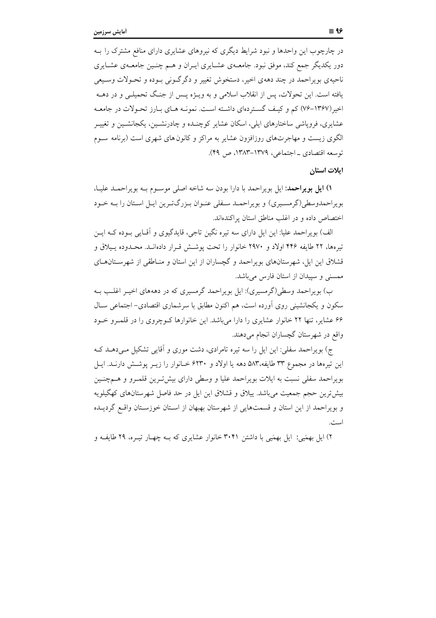در چارچوب این واحدها و نبود شرایط دیگری که نیروهای عشایری دارای منافع مشترک را بـه دور یکدیگر جمع کند، موفق نبود. جامعــهی عشــایری ایــران و هــم چنــین جامعــهی عشــایری ناحيهي بو پراحمد در چند دههي اخير، دستخوش تغيير و دگر گــوني بــوده و تحــولات وســيعي یافته است. این تحولات، پس از انقلاب اسلامی و به ویـــژه پــس از جنــگ تحمیلــی و در دهــه اخیر (۱۳۶۷-۷۶) کم و کیف گستردهای داشته است. نمونـه هـای بـارز تحـولات در جامعـه عشایری، فروپاشی ساختارهای ایلی، اسکان عشایر کوچنـده و چادرنشـین، یکجانشـین و تغییـر الگوی زیست و مهاجرتهای روزافزون عشایر به مراکز و کانون های شهری است (برنامه سـوم توسعه اقتصادي \_ اجتماعي، ١٣٧٩-١٣٨٣، ص ٤٩).

#### ايلات استان

۱) ایل بویراحمد: ایل بویراحمد با دارا بودن سه شاخه اصلی موسـوم بـه بویراحمـد علیـا، بویراحمدوسطی(گرمسیری) و بویراحمـد سـفلی عنـوان بـزرگتـرین ایـل اسـتان را بـه خـود اختصاص داده و در اغلب مناطق استان یر اکندهاند.

الف) بویراحمد علیا: این ایل دارای سه تیره نگین تاجی، قایدگیوی و اَقـایی بــوده کــه ایــن تیرهها، ۲۲ طایفه ۴۴۶ اولاد و ۲۹۷۰ خانوار را تحت پوشش قـرار دادهانـد. محـدوده یـیلاق و قشلاق این ایل، شهرستانهای بویراحمد و گچساران از این استان و منـاطقی از شهرســتانهــای ممسنی و سییدان از استان فارس میباشد.

ب) بویراحمد وسطی(گرمسیری): ایل بویراحمد گرمسیری که در دهههای اخیـر اغلـب بـه سکون و یکجانشینی روی اَورده است، هم اکنون مطابق با سرشماری اقتصادی– اجتماعی سـال ۶۶ عشایر، تنها ۲۲ خانوار عشایری را دارا میباشد. این خانوارها کـوچروی را در قلمـرو خـود واقع در شهرستان گچساران انجام می دهند.

ج) بویراحمد سفلی: این ایل را سه تیره تامرادی، دشت موری و آقایی تشکیل مـی دهـد کـه این تیرهها در مجموع ۳۳ طایفه،۵۸۳ دهه یا اولاد و ۶۲۳۰ خـانوار را زیـر پوشـش دارنـد. ایـل بویراحمد سفلی نسبت به ایلات بویراحمد علیا و وسطی دارای بیش تـرین قلمـرو و هــمچنـین بیشترین حجم جمعیت میباشد. پیلاق و قشلاق این ایل در حد فاصل شهرستانهای کهگیلویه و بویراحمد از این استان و قسمتهایی از شهرستان بهبهان از استان خوزستان واقع گردیـده

۲) ایل بهمَیی: ایل بهمَیی با داشتن ۳۰۴۱ خانوار عشایری که بـه چهـار تیـره، ۲۹ طایفـه و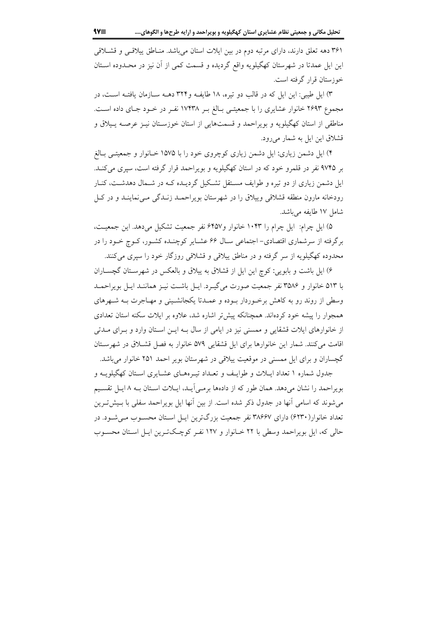۳۶۱ دهه تعلق دارند، دارای مرتبه دوم در بین ایلات استان میباشد. منـاطق پیلاقــی و قشــلاقی این ایل عمدتا در شهرستان کهگیلویه واقع گردیده و قسمت کمی از آن نیز در محـدوده اسـتان خوزستان قرار گرفته است.

۳) ایل طیبی: این ایل که در قالب دو تیره، ۱۸ طایف و۳۲۴ دهــه ســازمان یافتــه اســت، در مجموع ۲۶۹۳ خانوار عشایری را با جمعیتـی بـالغ بـر ۱۷۴۳۸ نفـر در خـود جـای داده اسـت. مناطقی از استان کهگیلویه و بویراحمد و قسمتهایی از استان خوزسـتان نیـز عرصـه یـیلاق و قشلاق این ایل به شمار میرود.

۴) ایل دشمن زیاری: ایل دشمن زیاری کوچروی خود را با ۱۵۷۵ خـانوار و جمعیتـی بـالغ بر ۹۷۴۵ نفر در قلمرو خود که در استان کهگیلویه و بویراحمد قرار گرفته است، سپری میکند. ایل دشمن زیاری از دو تیره و طوایف مسـتقل تشـکیل گردیـده کـه در شـمال دهدشـت، کنـار رودخانه مارون منطقه قشلاقی وییلاق را در شهرستان بویراحمـد زنـدگی مـی نماینـد و در کـل شامل ١٧ طايفه مي باشد.

۵) ایل چرام: ایل چرام را ۱۰۴۳ خانوار و۶۴۵۷ نفر جمعیت تشکیل میدهد. این جمعیت، برگرفته از سرشماری اقتصادی- اجتماعی سـال ۶۶ عشـایر کوچنـده کشـور، کـوچ خـود را در محدوده کهگیلویه از سر گرفته و در مناطق پیلاقی و قشلاقی روزگار خود را سیری می کنند.

۶) ایل باشت و بابویی: کوچ این ایل از قشلاق به پیلاق و بالعکس در شهرستان گچساران با ۵۱۳ خانوار و ۳۵۸۶ نفر جمعیت صورت میگیـرد. ایـل باشـت نیـز هماننـد ایـل بویراحمـد وسطی از روند رو به کاهش برخـوردار بـوده و عمـدتا یکجانشـینی و مهـاجرت بـه شـهرهای همجوار را پیشه خود کردهاند. همچنانکه پیش تر اشاره شد، علاوه بر ایلات سکنه استان تعدادی از خانوارهای ایلات قشقایی و ممسنی نیز در ایامی از سال بـه ایــن اسـتان وارد و بــرای مــدتی اقامت می کنند. شمار این خانوارها برای ایل قشقایی ۵۷۹ خانوار به فصل قشـلاق در شهرسـتان گچساران و برای ایل ممسنی در موقعیت پیلاقی در شهرستان بویر احمد ۲۵۱ خانوار می باشد.

جدول شماره ۱ تعداد ایــلات و طوایـف و تعــداد تیــرههــای عشــایری اســتان کهگیلویــه و بويراحمد را نشان مى دهد. همان طور كه از دادهها برمـى آيـد، ايـلات اسـتان بـه ٨ ايـل تقسـيم می شوند که اسامی آنها در جدول ذکر شده است. از بین آنها ایل بویراحمد سفلی با بـیش تـرین تعداد خانوار(۶۲۳۰) دارای ۳۸۶۶۷ نفر جمعیت بزرگترین ایـل اسـتان محسـوب مـی شـود. در حالي كه، ايل بويراحمد وسطى با ٢٢ خـانوار و ١٢٧ نفـر كوچـكتـرين ايـل اسـتان محسـوب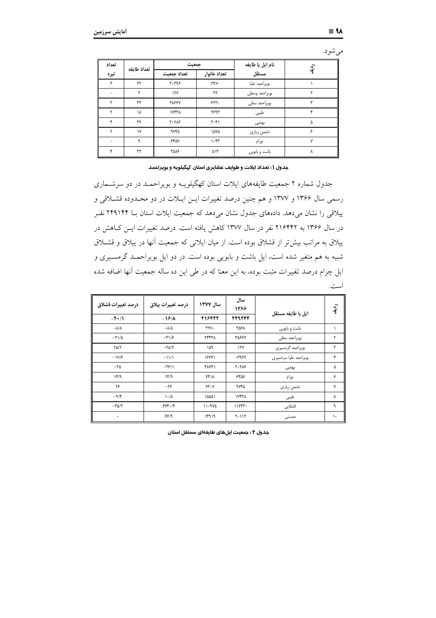| ۰ | u |
|---|---|
|   |   |

| تعداد                    | تعداد طايفه   | جمعيت            |                               | نام ایل یا طایفه | ۾<br>آف |
|--------------------------|---------------|------------------|-------------------------------|------------------|---------|
| تيره                     |               | تعداد جمعيت      | تعداد خانوار                  | مستقل            |         |
| ٣                        | ٢٢            | 7.799            | $Y^qY$                        | بويراحمد عليا    |         |
| $\overline{\phantom{a}}$ |               | 157              | ٢٢                            | بويراحمد وسطى    |         |
| ڛ                        | ٣٣            | <b>٣٨۶۶٧</b>     | 557.                          | بويراحمد سفلى    |         |
|                          | ١٨            | ۱۷۴۳۸            | <b>7595</b>                   | طيبي             |         |
| ۴                        | ٢٩            | $Y - Y \wedge F$ | $\mathbf{r} \cdot \mathbf{r}$ | بهمَیی           | ۵       |
| ۲                        | $\mathsf{N}'$ | <b>9YFD</b>      | ۱۵۷۵                          | دشمن زيارى       | ۶       |
|                          | ٩             | 550V             | $\cdot$ ۴۳                    | چرام             | ٧       |
|                          | ٣٢            | <b>TAAS</b>      | ۵۱۳                           | باشت و بابویی    | ۸       |

جدول ۱ : تعداد ایلات و طوایف عشایری استان کپگیلویه و بویراحمد

جدول شماره ۲ جمعیت طایفههای ایلات استان کهگیلویــه و بویراحمــد در دو سرشــماری رسمی سال ۱۳۶۶ و ۱۳۷۷ و هم چنین درصد تغییرات ایــن ایــلات در دو محــدوده قشــلاقی و ییلاقی را نشان میدهد. دادههای جدول نشان میدهد که جمعیت ایلات استان بـا ۲۴۹۱۴۴ نفـر در سال ۱۳۶۶ به ۲۱۶۴۴۲ نفر در سال ۱۳۷۷ کاهش یافته است. درصد تغییرات ایــن کــاهش در ییلاق به مراتب بیش تر از قشلاق بوده است. از میان ایلاتی که جمعیت انها در ییلاق و قشــلاق شبیه به هم متغیر شده است، ایل باشت و بابویی بوده است. در دو ایل بویراحمــد گرمســیری و یل چرام درصد تغییرات مثبت بوده، به این معنا که در طی این ده ساله جمعیت انها اضافه شده است.

| درصد تغييرات قشلاق             | درصد تغييرات ييلاق        | سال ١٣٧٧      | سال<br>۱۳۶۶      | ايل يا طايفه مستقل    | رو.<br>آف     |
|--------------------------------|---------------------------|---------------|------------------|-----------------------|---------------|
| $-\mathbf{Y}$ +/ $\mathbf{Y}$  | $-19/1$                   | 216442        | TFRTFF           |                       |               |
| $-\lambda/\lambda$             | $-\lambda/\lambda$        | $rrv$ .       | ۳۵۶۸             | باشت و بابویی         |               |
| $-\Gamma$ $/$ $\Delta$         | $-\mathbf{r}/\mathbf{r}$  | ٢۴۴٣٨         | <b>٣٨۶۶٧</b>     | بويراحمد سفلى         | ۲             |
| $\Gamma \Delta/\Upsilon$       | $-\tau\Delta/\tau$        | ١۵٩           | $\gamma \gamma$  | بویراحمد گرمسیری      | ۳             |
| $-\frac{1}{\sqrt{2}}$          | $-11/1$                   | 18881         | ۰۳۹۶۲            | بویراحمد علیا سردسیری | ۴             |
| $-\mathsf{r}\mathsf{\Delta}$   | $-\frac{1}{2}$            | <b>FAYT</b> ) | $Y - Y \wedge F$ | بهمّیی                | ۵             |
| 14/9                           | 14/9                      | <b>YFIA</b>   | 550Y             | چرام                  | ۶             |
| ۲۶                             | $-\tau$ ۶                 | $YY \cdot Y$  | ۹۷۴۵             | دشمن زيارى            | ٧             |
| $-\mathfrak{A}/\mathfrak{f}$   | $\lambda \cdot / \lambda$ | ١۵۵۵١         | <b>IVYYA</b>     | طيبى                  | Λ             |
| $-\mathsf{r}\Delta/\mathsf{r}$ | $5Yf + f$                 | $11 - 940$    | 11557.           | قشقايى                | ٩             |
| ۰                              | 55/9                      | ۱۴۹۱۹         | $Y \cdot 11Y$    | ممسنى                 | $\mathcal{L}$ |

**جدول ۲ : جمعیت ایلهای طایفهای مستقل استان**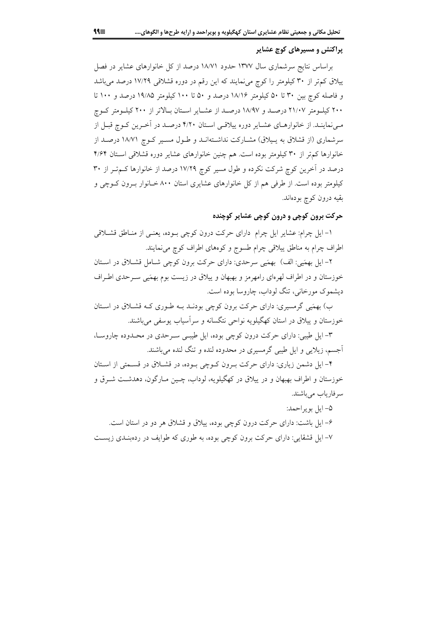## پراکنش و مسیرهای کوچ عشایر

براساس نتایج سرشماری سال ۱۳۷۷ حدود ۱۸/۷۱ درصد از کل خانوارهای عشایر در فصل ییلاق کم تر از ۳۰ کیلومتر را کوچ می نمایند که این رقم در دوره قشلاقی ۱۷/۲۹ درصد می باشد و فاصله کوچ بین ۳۰ تا ۵۰ کیلومتر ۱۸/۱۶ درصد و ۵۰ تا ۱۰۰ کیلومتر ۱۹/۸۵ درصد و ۱۰۰ تا ۲۰۰ کیلـومتر ۲۱/۰۷ درصـد و ۱۸/۹۷ درصـد از عشـایر اسـتان بـالاتر از ۲۰۰ کیلـومتر کـوچ می نماینـد. از خانوارهـای عشـایر دوره پیلاقـی اسـتان ۴/۲۰ درصـد در آخـرین کـوچ قبـل از سرشماری (از قشلاق به پیلاق) مشـارکت نداشـتهانــد و طــول مســیر کــوچ ۱۸/۷۱ درصــد از خانوارها کم تر از ۳۰ کیلومتر بوده است. هم چنین خانوارهای عشایر دوره قشلاقی استان ۴/۶۴ درصد در آخرین کوچ شرکت نکرده و طول مسیر کوچ ۱۷/۲۹ درصد از خانوارها کـمتـر از ۳۰ کیلومتر بوده است. از طرفی هم از کل خانوارهای عشایری استان ۸۰۰ خـانوار بـرون کـوچی و بقيه درون كوچ بودهاند.

## حرکت برون کوچی و درون کوچی عشایر کوچنده

۱- ایل چرام: عشایر ایل چرام دارای حرکت درون کوچی بـوده، یعنـی از منـاطق قشـلاقی اطراف چرام به مناطق ییلاقی چرام طسوج و کوههای اطراف کوچ میiمایند.

٢- ايل بهمَيي: الف) بهمَيي سرحدي: داراي حركت برون كوچي شــامل قشــلاق در اســتان خوزستان و در اطراف لهرهای رامهرمز و بهبهان و پیلاق در زیست بوم بهمَیی سـرحدی اطـراف دیشموک مورخانی، تنگ لوداب، چاروسا بوده است.

ب) بهمَنِي گرمسیري: داراي حرکت برون کوچي بودنـد بـه طـوري کـه قشـلاق در اسـتان خوزستان و پیلاق در استان کهگیلویه نواحی نتگسانه و سرآسیاب یوسفی میباشند.

۳- ایل طیبی: دارای حرکت درون کوچی بوده، ایل طیبی سـرحدی در محـدوده چاروسـا، اًجسم، زیلایی و ایل طیبی گرمسیری در محدوده لنده و تنگ لنده می<sub>.</sub>باشند.

۴- ایل دشمن زیاری: دارای حرکت بـرون کـوچی بـوده، در قشـلاق در قسـمتی از اسـتان خوزستان و اطراف بهبهان و در ییلاق در کهگیلویه، لوداب، چـین مـارگون، دهدشـت شــرق و سرفارياب مي باشند.

۵– ايل بو پر احمد: ۶- ایل باشت: دارای حرکت درون کوچی بوده، پیلاق و قشلاق هر دو در استان است. ۷– ایل قشقایی: دارای حرکت برون کوچی بوده، به طوری که طوایف در ردهبنـدی زیسـت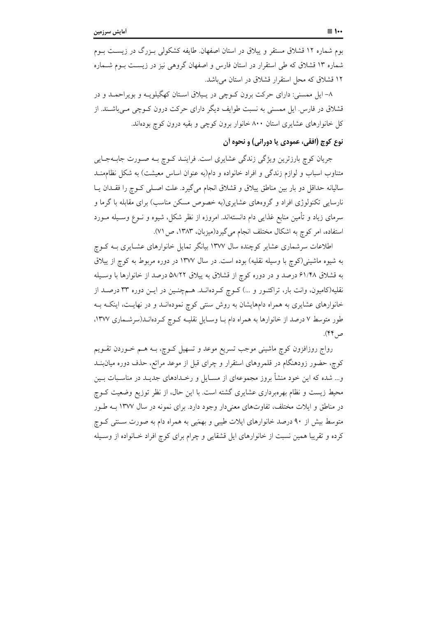بوم شماره ۱۲ قشلاق مستقر و پیلاق در استان اصفهان طایفه کشکولی بـزرگ در زیسـت بـوم شماره ۱۳ قشلاق که طی استقرار در استان فارس و اصفهان گروهی نیز در زیست بـوم شـماره ۱۲ قشلاق که محل استقرار قشلاق در استان میباشد.

۸– ایل ممسنی: دارای حرکت برون کـوچی در پـیلاق اسـتان کهگیلویـه و بویراحمـد و در قشلاق در فارس. ایل ممسنی به نسبت طوایف دیگر دارای حرکت درون کــوچی مــیباشــند. از کل خانوارهای عشایری استان ۸۰۰ خانوار برون کوچی و بقیه درون کوچ بودهاند.

# نوع کوچ (افقي، عمودي يا دوراني) و نحوه أن

جریان کوچ بارزترین ویژگی زندگی عشایری است. فراینـد کـوچ بـه صـورت جابـهجـایی متناوب اسباب و لوازم زندگی و افراد خانواده و دام(به عنوان اساس معیشت) به شکل نظاممنــد سالیانه حداقل دو بار بین مناطق پیلاق و قشلاق انجام میگیرد. علت اصـلی کـوچ را فقـدان یـا .<br>نارسایی تکنولوژی افراد و گروههای عشایری(به خصوص مسکن مناسب) برای مقابله با گرما و سرمای زیاد و تأمین منابع غذایی دام دانستهاند. امروزه از نظر شکل، شیوه و نــوع وســیله مــورد استفاده، امر کوچ به اشکال مختلف انجام می گیرد(میزبان، ۱۳۸۳، ص ۷۱).

اطلاعات سرشماری عشایر کوچنده سال ۱۳۷۷ بیانگر تمایل خانوارهای عشـایری بــه کــوچ به شیوه ماشینی(کوچ با وسیله نقلیه) بوده است. در سال ۱۳۷۷ در دوره مربوط به کوچ از پیلاق به قشلاق ۶۱/۴۸ درصد و در دوره کوچ از قشلاق به پیلاق ۵۸/۲۲ درصد از خانوارها با وسـیله نقلیه(کامیون، وانت بار، تراکتــور و …) کــوچ کــردهانــد. هــمچنــین در ایــن دوره ۳۳ درصــد از خانوارهای عشایری به همراه دامهایشان به روش سنتی کوچ نمودهانـد و در نهایـت، اینکـه بـه طور متوسط ۷ درصد از خانوارها به همراه دام بـا وسـايل نقليـه كـوچ كـردهانــد(سرشــمارى ۱۳۷۷، ص ۴۴).

رواج روزافزون کوچ ماشینی موجب تسریع موعد و تسهیل کــوچ، بــه هــم خــوردن تقــویـم کوچ، حضور زودهنگام در قلمروهای استقرار و چرای قبل از موعد مراتع، حذف دوره میان بنــد و... شده که این خود منشأ بروز مجموعهای از مســایل و رخــدادهای جدیــد در مناســبات بــین محیط زیست و نظام بهرهبرداری عشایری گشته است. با این حال، از نظر توزیع وضعیت کــوچ در مناطق و ایلات مختلف، تفاوتهای معنیدار وجود دارد. برای نمونه در سال ۱۳۷۷ بـه طـور متوسط بیش از ۹۰ درصد خانوارهای ایلات طیبی و بهمَیی به همراه دام به صورت سـنتی کــوچ کرده و تقریبا همین نسبت از خانوارهای ایل قشقایی و چرام برای کوچ افراد خـانواده از وسـیله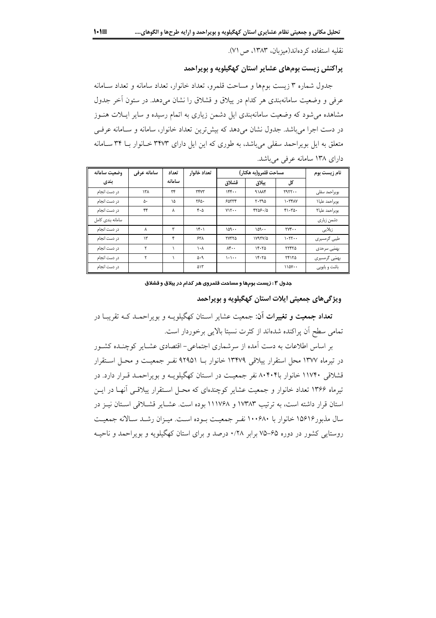نقليه استفاده كردهاند(ميزبان، ١٣٨٣، ص ٧١).

## پراکنش زیست بومهای عشایر استان کهگیلویه و بویراحمد

جدول شماره ۳ زیست بومها و مساحت قلمرو، تعداد خانوار، تعداد سامانه و تعداد سـامانه عرفی و وضعیت سامانهبندی هر کدام در ییلاق و قشلاق را نشان میدهد. در ستون اَخر جدول مشاهده می شود که وضعیت سامانهبندی ایل دشمن زیاری به اتمام رسیده و سایر ایـلات هنـوز در دست اجرا میباشد. جدول نشان میدهد که بیشترین تعداد خانوار، سامانه و سامانه عرفی متعلق به ایل بویراحمد سفلی میباشد، به طوری که این ایل دارای ۳۴۷۳ خـانوار بـا ۳۴ سـامانه دارای ۱۳۸ سامانه عرفی میباشد.

| وضعيت سامانه     | سامانه عرفي   | تعداد  | تعداد خانوار | مساحت قلمرو(به هكتار) |                |                                        | نام زیست بوم   |
|------------------|---------------|--------|--------------|-----------------------|----------------|----------------------------------------|----------------|
| بندى             |               | سامانه |              | قشلاق                 | ييلاق          | کل                                     |                |
| در دست انجام     | ۱۳۸           | ٣۴     | ٣۴٧٣         | 156                   | 91114          | 1911                                   | بويراحمد سفلى  |
| در دست انجام     | ۵۰            | ١۵     | ۲۶۵.         | 50555                 | $r - r90$      | $\lambda$                              | بويراحمد عليا١ |
| در دست انجام     | ۴۴            | λ      | ۴۰۵          | $YY$                  | 4705.40        | $f \setminus f \setminus \emptyset$ .  | بويراحمد عليا٢ |
| سامانه بندی کامل |               |        |              |                       |                |                                        | دشمن زیاری     |
| در دست انجام     | ٨             | ٣      | ۱۴۰۱         | ۱۵۹۰۰                 | ۱۵۹۰۰          | $\mathsf{r}\mathsf{v}\mathsf{r}\cdots$ | زیلایی         |
| در دست انجام     | $\mathcal{N}$ | ۴      | ۶۳۸          | <b>TYTTS</b>          | $1Y1YV/\Delta$ | $\cdot$                                | طیبی گرمسیری   |
| در دست انجام     |               |        | ١٠٨          | $\Lambda$ ۴           | 15.70          | ۲۲۴۲۵                                  | بهمَیی سرحدی   |
| در دست انجام     |               |        | ۵۰۹          | $\cdot \cdot \cdot$   | 15.70          | ٢۴١٢٥                                  | بھمَیے گرمسیری |
| در دست انجام     |               |        | ۵۱۳          |                       |                | $110Y -$                               | باشت و بابویی  |

جدول ۰.۳ زیست بومها و مساحت قلمروی هر کدام در ییلاق و قشلاق

ویژگیهای جمعیتی ایلات استان کهگیلویه و بویراحمد

**تعداد جمعیت و تغییرات آن**: جمعیت عشایر اسـتان کهگیلویــه و بویراحمــد کــه تقریبــا در تمامی سطح آن پراکنده شدهاند از کثرت نسبتا بالایی برخوردار است.

بر اساس اطلاعات به دست اَمده از سرشماری اجتماعی- اقتصادی عشـایر کوچنـده کشـور در تيرماه ١٣٧٧ محل استقرار ييلاقي ١٣۴٧٩ خانوار بــا ٩٢٩٥١ نفـر جمعيـت و محـل اسـتقرار قشلاقی ۱۱۷۴۰ خانوار با۸۰۴۰۴ نفر جمعیت در اسـتان کهگیلویـه و بویراحمـد قـرار دارد. در تیرماه ۱۳۶۶ تعداد خانوار و جمعیت عشایر کوچندهای که محـل اسـتقرار پیلاقـبی آنهـا در ایــن استان قرار داشته است، به ترتیب ۱۷۳۸۳ و ۱۱۱۷۶۸ بوده است. عشـایر قشـلاقی اسـتان نیـز در سال مذبور۱۵۶۱۶ خانوار با ۱۰۰۶۸۰ نفـر جمعیـت بـوده اسـت. میـزان رشـد سـالانه جمعیـت روستایی کشور در دوره ۶۵–۷۵ برابر ۰/۲۸ درصد و برای استان کهگیلویه و بویراحمد و ناحیـه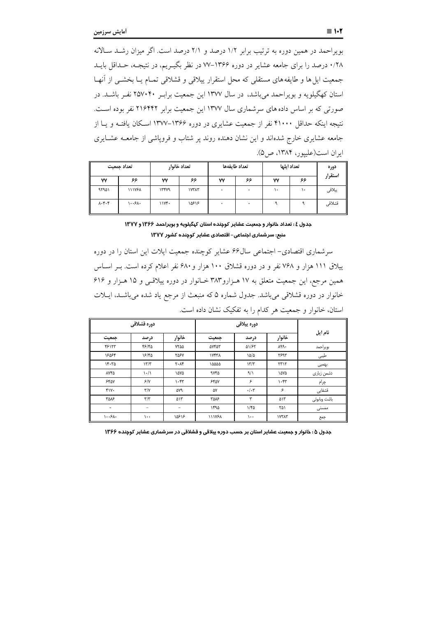بویراحمد در همین دوره به ترتیب برابر ۱/۲ درصد و ۲/۱ درصد است. اگر میزان رشـد سـالانه ۰/۲۸ درصد را برای جامعه عشایر در دوره ۱۳۶۶–۷۷ در نظر بگیـریم، در نتیجـه، حـداقل بایـد جمعیت ایل ها و طایفه های مستقلی که محل استقرار پیلاقی و قشلاقی تمـام یــا بخشــی از آنهــا استان کهگیلویه و بویراحمد می باشد، در سال ۱۳۷۷ این جمعیت برابـر ۲۵۷۰۴۰ نفـر باشـد. در صورتی که بر اساس داده های سرشماری سال ۱۳۷۷ این جمعیت برابر ۲۱۶۴۴۲ نفر بوده است. نتیجه اینکه حداقل ۴۱۰۰۰ نفر از جمعیت عشایری در دوره ۱۳۶۶–۱۳۷۷ اسکان یافتـه و یـا از جامعه عشایری خارج شدهاند و این نشان دهنده روند پر شتاب و فروپاشی از جامعــه عشــایری ايران است(عليپور، ١٣٨۴، ص٥).

|                               | تعداد جمعیت   |       | تعداد خانوار |    | تعداد طايفهها | تعداد ايلها |    | دوره    |
|-------------------------------|---------------|-------|--------------|----|---------------|-------------|----|---------|
| ٧٧                            | ۶۶            | ٧٧    | ۶۶           | ۷٧ | ۶۶            | ۷٧          | ۶۶ | استقرار |
| 95901                         | <b>111YSA</b> | ١٣۴٧٩ | ١٧٣٨٣        |    |               | ٠.          | ١٠ | يبلاقى  |
| $\lambda \cdot \xi \cdot \xi$ | ۱۰۰۶۸۰        | 11Yf. | 10818        |    |               |             |    | قشلاقى  |

### جدول ٤ : تعداد خانوار و جمعیت عشایر کوچنده استان کهگیلویه و بویراحمد ۱۳۶۶ و ۱۳۷۷ منبع: سرشماری اجتماعی- اقتصادی عشایر کوچنده کشور ۱۳۷۷

سرشماری اقتصادی- اجتماعی سال ۶۶ عشایر کوچنده جمعیت ایلات این استان را در دوره ییلاق ۱۱۱ هزار و ۷۶۸ نفر و در دوره قشلاق ۱۰۰ هزار و ۶۸۰ نفر اعلام کرده است. بـر اسـاس همین مرجع، این جمعیت متعلق به ۱۷ هـزارو۳۸۳ خـانوار در دوره پیلاقـبی و ۱۵ هـزار و ۶۱۶ خانوار در دوره قشلاقی می باشد. جدول شماره ۵ که منبعث از مرجع یاد شده می باشـد، ایـلات استان، خانوار و جمعیت هر کدام را به تفکیک نشان داده است.

|                                        | دوره قشلاقي                     |                          |               |                 |            |              |
|----------------------------------------|---------------------------------|--------------------------|---------------|-----------------|------------|--------------|
| جمعيت                                  | درصد                            | خانوار                   | جمعيت         | درصد            | خانوار     | نام ایل      |
| 45177                                  | 48/40                           | <b>YTAA</b>              | avrar         | <b>AI/۶۲</b>    | 199.       | بويراحمد     |
| ١۶۵۶۴                                  | 18/40                           | <b>TASY</b>              | <b>IVYYA</b>  | ۱۵/۵            | ٢۶٩٣       | طيبي         |
| $15 - 70$                              | 17/7                            | $Y \cdot \Lambda f$      | 10000         | 17/7            | 5717       | بهميى        |
| <b>AYFA</b>                            | $\backslash \cdot / \backslash$ | ۱۵۷۵                     | 9880          | 9/1             | ۱۵۷۵       | دشمن زیاری   |
| 550Y                                   | 5/8                             | $\cdot$ ۴۳               | 550           | ۶               | $\cdot$ ۴۳ | چرام         |
| $f_Y$                                  | $\mathbf{Y}/\mathbf{Y}$         | ۵۷۹                      | ۵٧            | $\cdot/\cdot$ ۳ | ۶          | قشقایی       |
| ۳۵۸۶                                   | $\tau/\tau$                     | ۵۱۳                      | <b>۳۵۸۶</b>   | ٣               | ۵۱۳        | باشت وبابوئى |
| $\blacksquare$                         | $\overline{\phantom{0}}$        | $\overline{\phantom{0}}$ | ۱۴۹۵          | $1/f_0$         | ۲۵۱        | ممسنى        |
| $\cdot \cdot \cdot \cdot \wedge \cdot$ | $\cdots$                        | ١۵۶١۶                    | <b>111YSA</b> | $\cdots$        | ١٧٣٨٣      | جمع          |

جدول ۵ : خانوار و جمعیت عشایر استان بر حسب دوره پیلاقی و قشلاقی در سرشماری عشایر کوچنده ۱۳۶۶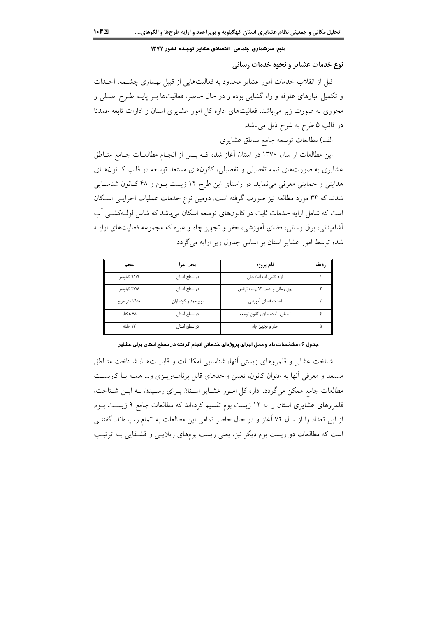منبع: سرشماری اجتماعی– اقتصادی عشایر کوچنده کشور ۱۳۷۷

## نوع خدمات عشایر و نحوه خدمات رسانی

قبل از انقلاب خدمات امور عشایر محدود به فعالیتهایی از قبیل بهسازی چشـمه، احــداث و تکمیل انبارهای علوفه و راه گشایی بوده و در حال حاضر، فعالیتها بـر پایــه طـرح اصـلی و محوری به صورت زیر می باشد. فعالیتهای اداره کل امور عشایری استان و ادارات تابعه عمدتا در قالب ۵ طرح به شرح ذیل میباشد.

الف) مطالعات توسعه جامع مناطق عشايري

این مطالعات از سال ۱۳۷۰ در استان آغاز شده کــه پــس از انجــام مطالعــات جــامع منــاطق عشایری به صورتهای نیمه تفصیلی و تفصیلی، کانونهای مستعد توسعه در قالب کـانون&ـای هدایتی و حمایتی معرفی می نماید. در راستای این طرح ۱۲ زیست بوم و ۴۸ کـانون شناسـایی شدند که ۳۴ مورد مطالعه نیز صورت گرفته است. دومین نوع خدمات عملیات اجرایـی اسـکان است که شامل ارایه خدمات ثابت در کانونهای توسعه اسکان میباشد که شامل لول کشم آب آشامیدنی، برق رسانی، فضای آموزشی، حفر و تجهیز چاه و غیره که مجموعه فعالیتهای ارایـه شده توسط امور عشایر استان بر اساس جدول زیر ارایه می گردد.

| حجم           | محل اجرا           | نام يروژه                    | , ديف |
|---------------|--------------------|------------------------------|-------|
| ۹۱/۹ کیلومتر  | در سطح استان       | لوله كشى أب أشاميدنى         |       |
| ۴۷/۸ کیلومتر  | در سطح استان       | برق رسانی و نصب ١٢ پست ترانس |       |
| ۱۴۵۰ متر مربع | بویراحمد و گچساران | احداث فضاى أموزشى            |       |
| ۷۸ هکتا,      | در سطح استان       | تسطيح–أماده سازى كانون توسعه |       |
| ۱۳ حلقه       | در سطح استان       | حفر و تجهیز چاه              |       |

جدول ۶ : مشخصات نام و محل اجرای پروژهای خدماتی انجام گرفته در سطح استان برای عشایر

شناخت عشاير و قلمروهاي زيستي أنها، شناسايي امكانــات و قابليــتهــا، شــناخت منــاطق مستعد و معرفی آنها به عنوان کانون، تعیین واحدهای قابل برنامـهریـزی و… همـه بـا کاربسـت مطالعات جامع ممکن میگردد. اداره کل امـور عشـایر اسـتان بـرای رسـیدن بـه ایـن شـناخت، قلمروهای عشایری استان را به ۱۲ زیست بوم تقسیم کردهاند که مطالعات جامع ۹ زیست بـوم از این تعداد را از سال ۷۲ آغاز و در حال حاضر تمامی این مطالعات به اتمام رسیدهاند. گفتنـی است که مطالعات دو زیست بوم دیگر نیز، یعنی زیست بومهای زیلایــی و قشــقایی بــه ترتیــب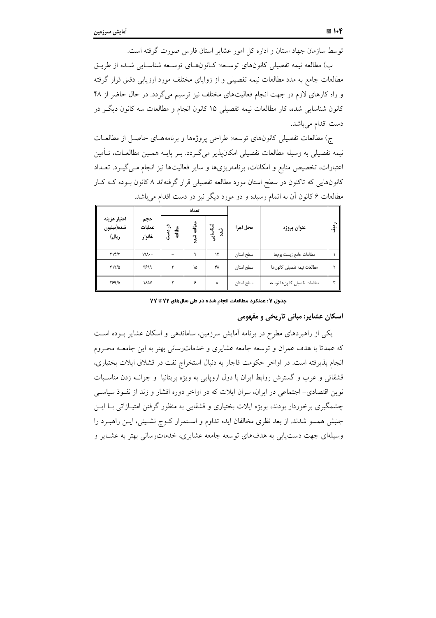توسط سازمان جهاد استان و اداره کل امور عشایر استان فارس صورت گرفته است.

ب) مطالعه نیمه تفصیلی کانون۱های توسـعه: کـانون۱مـای توسـعه شناسـایی شــده از طریــق مطالعات جامع به مدد مطالعات نیمه تفصیلی و از زوایای مختلف مورد ارزیابی دقیق قرار گرفته و راه کارهای لازم در جهت انجام فعالیتهای مختلف نیز ترسیم میگردد. در حال حاضر از ۴۸ كانون شناسايي شده، كار مطالعات نيمه تفصيلي ۱۵ كانون انجام و مطالعات سه كانون ديگـر در دست اقدام میباشد.

ج) مطالعات تفصیلی کانونهای توسعه: طراحی پروژهها و برنامههـای حاصـل از مطالعـات نیمه تفصیلی به وسیله مطالعات تفصیلی امکانپذیر میگـردد. بـر پایــه همــین مطالعــات، تــامین اعتبارات، تخصیص منابع و امکانات، برنامهریزیها و سایر فعالیتها نیز انجام مـیگیــرد. تعــداد کانونهایی که تاکنون در سطح استان مورد مطالعه تفصیلی قرار گرفتهاند ۸ کانون بــوده کــه کــار مطالعات ۶ کانون ان به اتمام رسیده و دو مورد دیگر نیز در دست اقدام میباشد.

|                                     |                         |                  | تعداد      |                            |           |                              |           |
|-------------------------------------|-------------------------|------------------|------------|----------------------------|-----------|------------------------------|-----------|
| اعتبار هزينه<br>شده(ميليون<br>ريال) | حجم<br>عمليات<br>خانوار | در دست<br>مطالعه | مطالعه شده | نسناسا <u>ہ</u> ی<br>رُدُه | محل اجرا  | عنوان پروژه                  | $\hat{a}$ |
| YY/Y                                | 191                     |                  | ٩          | ۱٢                         | سطح استان | مطالعات جامع زيست بومها      |           |
| $\Gamma\backslash\Gamma/\Delta$     | ۳۶۹۹                    | ٣                | ١۵         | ۴٨                         | سطح استان | مطالعات نيمه تفصيلى كانونها  |           |
| 88910                               | <b><i>MAY</i></b>       |                  | ۶          | ٨                          | سطح استان | مطالعات تفصيلى كانونها توسعه |           |

جدول Y : عملکرد مطالعات انجام شده در طی سالهای YY تا YY

## اسکان عشایر: مبانی تاریخی و مفهومی

یکی از راهبردهای مطرح در برنامه امایش سرزمین، ساماندهی و اسکان عشایر بــوده اســت که عمدتا با هدف عمران و توسعه جامعه عشایری و خدماترسانی بهتر به این جامعــه محـروم انجام پذیرفته است. در اواخر حکومت قاجار به دنبال استخراج نفت در قشلاق ایلات بختیاری، قشقائی و عرب و گسترش روابط ایران با دول اروپایی به ویژه بریتانیا و جوانــه زدن مناســبات نوین اقتصادی– اجتماعی در ایران، سران ایلات که در اواخر دوره افشار و زند از نفـوذ سیاســی چشمگیری برخوردار بودند، بویژه ایلات بختیاری و قشقایی به منظور گرفتن امتیــازاتی بــا ایــن جنبش همسو شدند. از بعد نظری مخالفان ایده تداوم و اسـتمرار کــوچ نشــینی، ایــن راهبــرد را وسیلهای جهت دستیابی به هدفهای توسعه جامعه عشایری، خدماترسانی بهتر به عشـایر و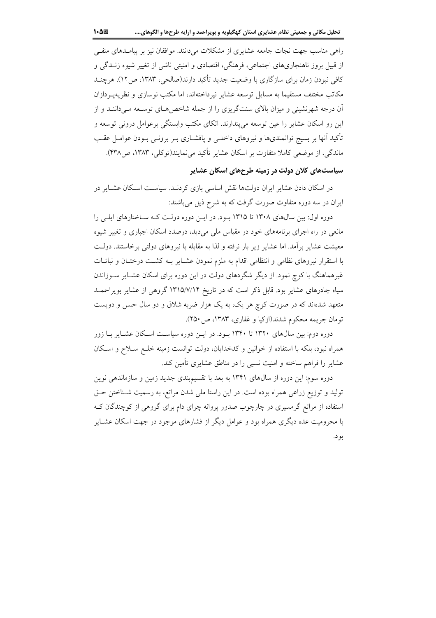راهی مناسب جهت نجات جامعه عشایری از مشکلات می دانند. موافقان نیز بر پیامـدهای منفـی از قبیل بروز ناهنجاریهای اجتماعی، فرهنگی، اقتصادی و امنیتی ناشی از تغییر شیوه زنــدگی و کافی نبودن زمان برای سازگاری با وضعیت جدید تأکید دارند(صالحی، ۱۳۸۳، ص ۱۲). هرچنـد مکاتب مختلف مستقیما به مسایل توسعه عشایر نیرداختهاند، اما مکتب نوسازی و نظریهپ دازان آن درجه شهرنشینی و میزان بالای سنتگریزی را از جمله شاخص هـای توسـعه مـی داننــد و از این رو اسکان عشایر را عین توسعه می پندارند. اتکای مکتب وابستگی برعوامل درونی توسعه و تأکید آنها بر بسیج توانمندیها و نیروهای داخلـی و پافشــاری بــر برونــی بــودن عوامــل عقــب ماندگی، از موضعی کاملا متفاوت بر اسکان عشایر تأکید می نمایند(توکلی، ۱۳۸۳، ص۴۳۸).

# سیاستهای کلان دولت در زمینه طرحهای اسکان عشایر

در اسکان دادن عشایر ایران دولتها نقش اساسی بازی کردنـد. سیاسـت اسـکان عشـایر در ایران در سه دوره متفاوت صورت گرفت که به شرح ذیل می باشند:

دوره اول: بین سالهای ۱۳۰۸ تا ۱۳۱۵ بود. در ایـن دوره دولـت کـه سـاختارهای ایلـی را مانعی در راه اجرای برنامههای خود در مقیاس ملی می دید، درصدد اسکان اجباری و تغییر شیوه معیشت عشایر برآمد. اما عشایر زیر بار نرفته و لذا به مقابله با نیروهای دولتی برخاستند. دولت با استقرار نیروهای نظامی و انتظامی اقدام به ملزم نمودن عشـایر بـه کشـت درختـان و نباتـات غیرهماهنگ با کوچ نمود. از دیگر شگردهای دولت در این دوره برای اسکان عشـایر سـوزاندن سیاه چادرهای عشایر بود. قابل ذکر است که در تاریخ ۱۳۱۵/۷/۱۴ گروهی از عشایر بویراحمـد متعهد شدهاند که در صورت کوچ هر یک، به یک هزار ضربه شلاق و دو سال حبس و دویست تومان جريمه محكوم شدند(ازكيا و غفاري، ١٣٨٣، ص ٢٥٠).

دوره دوم: بین سالههای ۱۳۲۰ تا ۱۳۴۰ بـود. در ایـن دوره سیاسـت اسـکان عشـایر بـا زور همراه نبود، بلكه با استفاده از خوانين و كدخدايان، دولت توانست زمينه خلـع سـلاح و اسـكان عشایر را فراهم ساخته و امنیت نسبی را در مناطق عشایری تأمین کند.

دوره سوم: این دوره از سال@ای ۱۳۴۱ به بعد با تقسیمبندی جدید زمین و سازماندهی نوین تولید و توزیع زراعی همراه بوده است. در این راستا ملی شدن مراتع، به رسمیت شـناختن حـق استفاده از مراتع گرمسیری در چارچوب صدور پروانه چرای دام برای گروهی از کوچندگان ک با محرومیت عده دیگری همراه بود و عوامل دیگر از فشارهای موجود در جهت اسکان عشـایر بو د.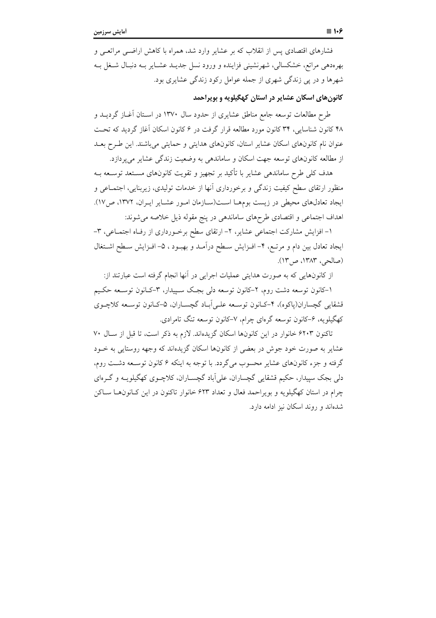فشارهای اقتصادی پس از انقلاب که بر عشایر وارد شد، همراه با کاهش اراضـی مراتعـی و بهرهدهی مراتع، خشکسالی، شهرنشینی فزاینده و ورود نسل جدیــد عشــایر بــه دنبـال شــغل بــه شهرها و در یی زندگی شهری از جمله عوامل رکود زندگی عشایری بود.

# کانونهای اسکان عشایر در استان کهگیلویه و بویراحمد

طرح مطالعات توسعه جامع مناطق عشایری از حدود سال ۱۳۷۰ در اسـتان أغــاز گردیــد و ۴۸ کانون شناسایی، ۳۴ کانون مورد مطالعه قرار گرفت در ۶ کانون اسکان آغاز گردید که تحت عنوان نام کانونهای اسکان عشایر استان، کانونهای هدایتی و حمایتی می باشند. این طـرح بعــد از مطالعه کانونهای توسعه جهت اسکان و ساماندهی به وضعیت زندگی عشایر می پردازد.

هدف کلی طرح ساماندهی عشایر با تأکید بر تجهیز و تقویت کانونهای مسـتعد توسـعه بـه منظور ارتقای سطح کیفیت زندگی و برخورداری آنها از خدمات تولیدی، زیربنایی، اجتمـاعی و ايجاد تعادلهاي محيطي در زيست بومهـا اسـت(سـازمان امـور عشـاير ايـران، ١٣٧٢، ص١٧). اهداف اجتماعی و اقتصادی طرحهای ساماندهی در پنج مقوله ذیل خلاصه می شوند:

۱- افزایش مشارکت اجتماعی عشایر، ۲- ارتقای سطح برخورداری از رف)ه اجتماعی، ۳-ایجاد تعادل بین دام و مرتـع، ۴- افـزایش سـطح درآمـد و بهبـود ، ۵- افـزایش سـطح اشـتغال (صالحي، ١٣٨٣، ص١٣).

از کانونهایی که به صورت هدایتی عملیات اجرایی در آنها انجام گرفته است عبارتند از:

۱–کانون توسعه دشت روم، ۲–کانون توسعه دلی بجک سـییدار، ۳–کـانون توسـعه حکـیم قشقايي گچساران(پاكوه)، ۴–كـانون توسـعه علـي|بـاد گچسـاران، ۵–كـانون توسـعه كلاچـوي کهگیلو په، ۶–کانون توسعه گرهای چرام، ۷–کانون توسعه تنگ تامرادی.

تاكنون ۶۲۰۳ خانوار در اين كانونها اسكان گزيدهاند. لازم به ذكر است، تا قبل از سـال ۷۰ عشایر به صورت خود جوش در بعضی از کانونها اسکان گزیدهاند که وجهه روستایی به خــود گرفته و جزء کانونهای عشایر محسوب میگردد. با توجه به اینکه ۶ کانون توسـعه دشـت روم، دلی بجک سیپدار، حکیم قشقایی گچساران، علی اَباد گچســاران، کلاچــوی کهگیلویــه و گــرهای چرام در استان کهگیلویه و بویراحمد فعال و تعداد ۶۲۳ خانوار تاکنون در این کـانونهـا سـاکن شدهاند و روند اسکان نیز ادامه دارد.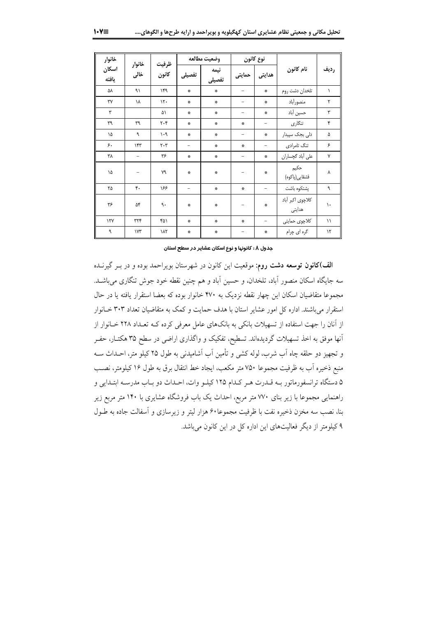| خانوار                 |                |                               |                          | وضعيت مطالعه                      | نوع كانون                      |                          |                            |               |
|------------------------|----------------|-------------------------------|--------------------------|-----------------------------------|--------------------------------|--------------------------|----------------------------|---------------|
| اسكان<br>يافته         | خانوار<br>خالى | ظرفيت<br>كانون                | تفصيلى                   | نيمه<br>تفصيلى                    | حمايتى                         | هدايتى                   | نام كانون                  | رديف          |
| ۵٨                     | ۹١             | ۱۴۹                           | 豪                        | $\frac{d\mu}{d\mu}$               |                                | ÷                        | تلخدان دشت روم             | $\lambda$     |
| $\mathsf{r}\mathsf{v}$ | ١٨             | $\mathcal{N}$                 | 楽                        | $\frac{d\mathbf{x}}{d\mathbf{y}}$ | $\qquad \qquad -$              | ÷                        | منصورأباد                  | ٢             |
| ٣                      |                | ۵١                            | $\mathcal{L}$            | $\frac{d\mathbf{x}}{d\mathbf{y}}$ | $\overline{\phantom{0}}$       | ÷                        | حسين آباد                  | ٣             |
| ٣٩                     | ٣٩             | $\mathbf{y} \cdot \mathbf{y}$ | 崇                        | $\frac{d\mathbf{x}}{d\mathbf{y}}$ | $\mathcal{L}$                  | -                        | تنگاری                     | ۴             |
| ١۵                     | ٩              | $\cdot$ 9                     | 崇                        | $\frac{d\mathbf{x}}{d\mathbf{y}}$ | $\qquad \qquad -$              | ÷                        | دلی بجک سپیدار             | ۵             |
| ۶.                     | ۱۴۳            | $\mathbf{y} \cdot \mathbf{y}$ | $\qquad \qquad -$        | $\mathcal{R}$                     | 崇                              | -                        | تنگ تامرادی                | ۶             |
| ٣٨                     | $\equiv$       | ۳۶                            | $\frac{d\mu}{d\mu}$      | 拳                                 | -                              | ÷                        | على أباد گچساران           | Y             |
| ۱۵                     |                | ٧٩                            | 鈭                        | $\frac{d\mu}{d\mu}$               |                                | ÷                        | حكيم<br>قشقايي(پاكوه)      | ۷             |
| ۲۵                     | ۴.             | ۱۶۶                           | $\overline{\phantom{0}}$ | $\frac{d\mathbf{x}}{d\mathbf{y}}$ | 崇                              | $\overline{\phantom{0}}$ | پشتكوه باشت                | ٩             |
| ۳۶                     | ۵۴             | ٩.                            | 崇                        | $\frac{d\mathbf{x}}{d\mathbf{y}}$ | $\qquad \qquad \longleftarrow$ | $\mathcal{L}$            | كلاچوى اكبر أباد<br>هدایتی | ١.            |
| $\gamma \gamma$        | ٣٢۴            | ۴۵۱                           | $\mathcal{L}$            | $\frac{d\mathbf{x}}{d\mathbf{x}}$ | 盎                              | $\overline{\phantom{0}}$ | كلاچوى حمايتى              | $\setminus$   |
| ٩                      | $\gamma$       | ١λ٢                           | 崇                        | $\mathcal{L}$                     | -                              | ÷                        | گره ای چرام                | $\mathcal{N}$ |

#### جدول λ : کانونها و نوع اسکان عشایر در سطح استان

الف)کانون توسعه دشت روم: موقعیت این کانون در شهرستان بویراحمد بوده و در بـر گیرنــده سه جایگاه اسکان منصور آباد، تلخدان، و حسین آباد و هم چنین نقطه خود جوش تنگاری میباشـد. مجموعا متقاضیان اسکان این چهار نقطه نزدیک به ۴۷۰ خانوار بوده که بعضا استقرار یافته یا در حال استقرار می باشند. اداره کل امور عشایر استان با هدف حمایت و کمک به متقاضیان تعداد ۳۰۳ خـانوار از آنان را جهت استفاده از تسهیلات بانکی به بانکهای عامل معرفی کرده کـه تعـداد ۲۲۸ خــانوار از آنها موفق به اخذ تسهیلات گردیدهاند. تسطیح، تفکیک و واگذاری اراضی در سطح ۳۵ هکتـار، حفـر و تجهیز دو حلقه چاه اَب شرب، لوله کشی و تأمین اَب اَشامیدنی به طول ۲۵ کیلو متر، احـداث ســه منبع ذخيره أب به ظرفيت مجموعًا ٧٥٠ متر مكعب، ايجاد خط انتقال برق به طول ١۶ كيلومتر، نصـب ۵ دستگاه ترانسفورماتور بـه قـدرت هـر كـدام ۱۲۵ كيلـو وات، احـداث دو بـاب مدرسـه ابتـدايي و راهنمایی مجموعا با زیر بنای ۷۷۰ متر مربع، احداث یک باب فروشگاه عشایری با ۱۴۰ متر مربع زیر بنا، نصب سه مخزن ذخیره نفت با ظرفیت مجموعا۶۰ هزار لیتر و زیرسازی و آسفالت جاده به طـول ۹ کیلومتر از دیگر فعالیتهای این اداره کل در این کانون میباشد.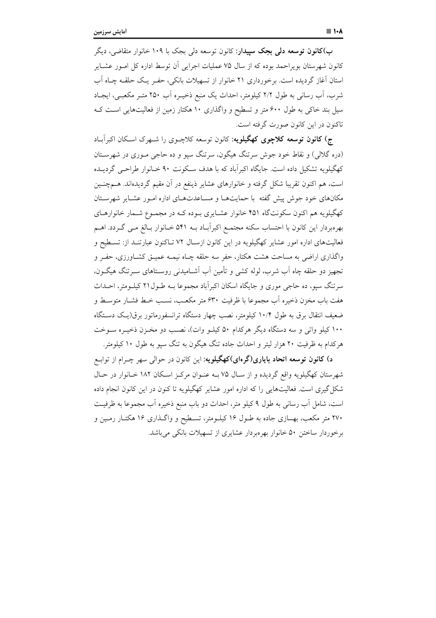ب)**کانون توسعه دلی بجک سپیدار**: کانون توسعه دل<sub>ی</sub> بجک با ۱۰۹ خانوار متقاضی، دیگر کانون شهرستان بویراحمد بوده که از سال ۷۵ عملیات اجرایی اَن توسط اداره کل امـور عشـایر استان آغاز گردیده است. برخورداری ۲۱ خانوار از تسهیلات بانکی، حفـر یـک حلقـه چـاه آب شرب، آب رسانی به طول ۲/۲ کیلومتر، احداث یک منبع ذخیـره آب ۲۵۰ متـر مکعبـی، ایجـاد سیل بند خاکی به طول ۶۰۰ متر و تسطیح و واگذاری ۱۰ هکتار زمین از فعالیتهایی است ک تاکنون در این کانون صورت گرفته است.

ج) کانون توسعه کلاچوی کهگیلویه: کانون توسعه کلاچـوی را شـهرک اسـکان اکبرآبـاد (دره گلالی) و نقاط خود جوش سرتنگ هیگون، سرتنگ سپو و ده حاجی مـوری در شهرسـتان کهگیلویه تشکیل داده است. جایگاه اکبرآباد که با هدف سکونت ۹۰ خـانوار طراحـی گردیــده است، هم اکنون تقریبا شکل گرفته و خانوارهای عشایر ذینفع در آن مقیم گردیدهاند. هــمچنــین .<br>مکانهای خود جوش پیش گفته با حمایتهـا و مسـاعدتهـای اداره امـور عشـایر شهرسـتان کهگیلویه هم اکنون سکونتگاه ۴۵۱ خانوار عشـایری بـوده کـه در مجمـوع شـمار خانوارهـای بهرهبردار این کانون با احتساب سکنه مجتمع اکبراًبـاد بــه ۵۴۱ خـانوار بـالغ مــی گــردد. اهــم فعالیتهای اداره امور عشایر کهگیلویه در این کانون ازسال ۷۲ تـاکنون عبارتنـد از: تسـطیح و واگذاری اراضی به مساحت هشت هکتار، حفر سه حلقه چـاه نیمـه عمیـق کشـاورزی، حفـر و تجهیز دو حلقه چاه اَب شرب، لوله کشی و تأمین اَب اَشــامیدنی روسـتاهای ســرتنگ هیگــون، سرتنگ سیو، ده حاجی موری و جایگاه اسکان اکبرآباد مجموعا بــه طــول۲۱ کیلــومتر، احــداث هفت باب مخزن ذخيره أب مجموعا با ظرفيت ۶۳۰ متر مكعـب، نسـب خـط فشـار متوسـط و ضعیف انتقال برق به طول ۱۰/۴ کیلومتر، نصب چهار دستگاه ترانسفورماتور برق(یک دستگاه ۱۰۰ کیلو واتی و سه دستگاه دیگر هرکدام ۵۰ کیلـو وات)، نصـب دو مخـزن ذخیـره سـوخت هرکدام به ظرفیت ۲۰ هزار لیتر و احداث جاده تنگ هیگون به تنگ سپو به طول ۱۰ کیلومتر.

د) کانون توسعه اتحاد بایاری(گرهای)کهگیلویه: این کانون در حوال<sub>ی</sub> سهر چـرام از توابـع شهرستان کهگیلویه واقع گردیده و از سـال ۷۵ بـه عنـوان مرکـز اسـکان ۱۸۲ خـانوار در حـال شکل گیری است. فعالیتهایی را که اداره امور عشایر کهگیلویه تا کنون در این کانون انجام داده است، شامل أب رساني به طول ۹ كيلو متر، احداث دو باب منبع ذخيره أب مجموعا به ظرفيت ۲۷۰ متر مکعب، بهسازی جاده به طـول ۱۶ کیلــومتر، تســطیح و واگــذاری ۱۶ هکتــار رمــین و برخوردار ساختن ۵۰ خانوار بهرهبردار عشایری از تسهیلات بانکی می باشد.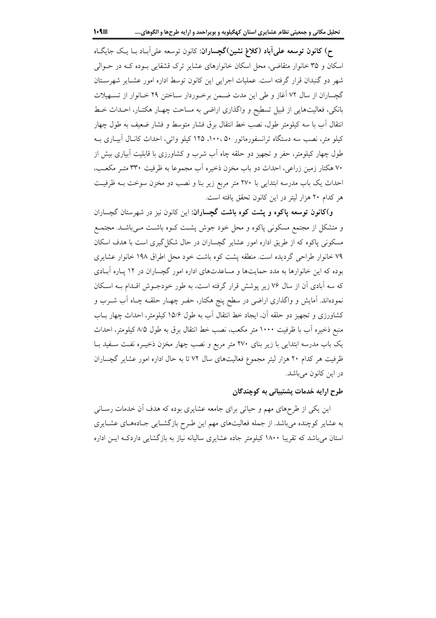ح) کانون توسعه علی آباد (کلاغ نشین)گچساران: کانون توسعه علی آباد با یک جایگاه اسکان و ۳۵ خانوار متقاضی، محل اسکان خانوارهای عشایر ترک قشقایی بـوده کـه در حـوالی شهر دو گنبدان قرار گرفته است. عملیات اجرایی این کانون توسط اداره امور عشـایر شهرسـتان گچساران از سال ۷۲ آغاز و طی این مدت ضـمن برخـوردار سـاختن ۲۹ خـانوار از تســهیلات بانکی، فعالیتهایی از قبیل تسطیح و واگذاری اراضی به مساحت چهـار هکتـار، احـداث خـط انتقال آب با سه کیلومتر طول، نصب خط انتقال برق فشار متوسط و فشار ضعیف به طول چهار کیلو متر، نصب سه دستگاه ترانسفورماتور ۵۰،۰۰، ۱۲۵ کیلو واتبی، احداث کانـال آبیـاری بـه طول چهار کیلومتر، حفر و تجهیز دو حلقه چاه آب شرب و کشاورزی با قابلیت آبیاری بیش از ۷۰ هکتار زمین زراعی، احداث دو باب مخزن ذخیره آب مجموعا به ظرفیت ۳۳۰ متـر مکعـب، احداث یک باب مدرسه ابتدایی با ۲۷۰ متر مربع زیر بنا و نصب دو مخزن سوخت بــه ظرفیــت هر كدام ۲۰ هزار ليتر در اين كانون تحقق يافته است.

و)کانون توسعه پاکوه و پشت کوه باشت گچساران: این کانون نیز در شهرستان گچساران و متشکل از مجتمع مسکونی پاکوه و محل خود جوش پشت کـوه باشـت مـیباشـد. مجتمـع مسکونی پاکوه که از طریق اداره امور عشایر گچساران در حال شکل گیری است با هدف اسکان ۷۹ خانوار طراحی گردیده است. منطقه پشت کوه باشت خود محل اطراق ۱۹۸ خانوار عشایری بوده که این خانوارها به مدد حمایتها و مساعدتهای اداره امور گچساران در ۱۲ پاره آبادی که سه آبادی آن از سال ۷۶ زیر پوشش قرار گرفته است، به طور خودجـوش اقـدام بـه اسـکان نمودهاند. اَمایش و واگذاری اراضی در سطح پنج هکتار، حفـر چهـار حلقـه چـاه اَب شــرب و کشاورزی و تجهیز دو حلقه آن، ایجاد خط انتقال آب به طول ۱۵/۶ کیلومتر، احداث چهار بــاب منبع ذخیره اّب با ظرفیت ۱۰۰۰ متر مکعب، نصب خط انتقال برق به طول ۸/۵ کیلومتر، احداث یک باب مدرسه ابتدایی با زیر بنای ۲۷۰ متر مربع و نصب چهار مخزن ذخیـره نفـت سـفید بـا ظرفیت هر کدام ۲۰ هزار لیتر مجموع فعالیتهای سال ۷۲ تا به حال اداره امور عشایر گچساران در این کانون میباشد.

## طرح ارایه خدمات پشتیبانی به کوچندگان

این یکی از طرحهای مهم و حیاتی برای جامعه عشایری بوده که هدف آن خدمات رسـانی به عشایر کوچنده می باشد. از جمله فعالیتهای مهم این طرح بازگشـایی جـادههـای عشـایری استان می باشد که تقریبا ۱۸۰۰ کیلومتر جاده عشایری سالیانه نیاز به بازگشایی داردکـه ایــن اداره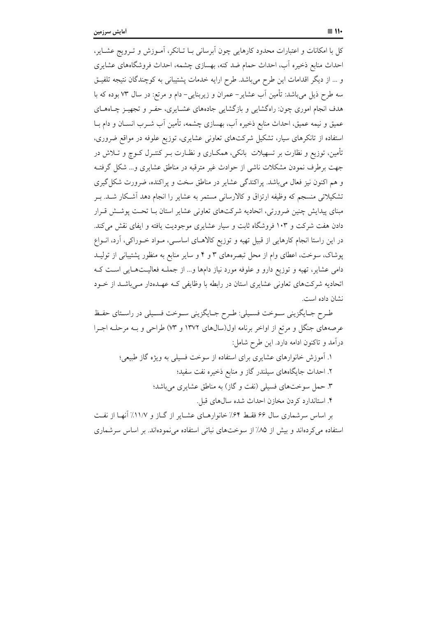كل با امكانات و اعتبارات محدود كارهايي چون آبرساني بــا تــانكر، آمــوزش و تــرويج عشــاير، احداث منابع ذخیره آب، احداث حمام ضد کنه، بهسازی چشمه، احداث فروشگاههای عشایری و … از دیگر اقدامات این طرح میباشد. طرح ارایه خدمات پشتیبانی به کوچندگان نتیجه تلفیـق سه طرح ذیل میباشد: تأمین آب عشایر– عمران و زیربنایی– دام و مرتع: در سال ۷۳ بوده که با هدف انجام اموری چون: راهگشایی و بازگشایی جادههای عشـایری، حفـر و تجهیـز چـاههـای عمیق و نیمه عمیق، احداث منابع ذخیره آب، بهسازی چشمه، تأمین آب شـرب انســان و دام بــا استفاده از تانکرهای سیار، تشکیل شرکتهای تعاونی عشایری، توزیع علوفه در مواقع ضروری، تأمین، توزیع و نظارت بر تسهیلات بانکی، همکـاری و نظـارت بــر کنتــرل کــوچ و تــلاش در جهت برطرف نمودن مشکلات ناشی از حوادث غیر مترقبه در مناطق عشایری و... شکل گرفتـه و هم اکنون نیز فعال می باشد. پراکندگی عشایر در مناطق سخت و پراکنده، ضرورت شکل گیری تشکیلاتی منسجم که وظیفه ارتزاق و کالارسانی مستمر به عشایر را انجام دهد آشکار شـد. بـر مبنای پیدایش چنین ضرورتی، اتحادیه شرکتهای تعاونی عشایر استان بـا تحـت پوشـش قـرار دادن هفت شرکت و ۱۰۳ فروشگاه ثابت و سیار عشایری موجودیت یافته و ایفای نقش می کند. در این راستا انجام کارهایی از قبیل تهیه و توزیع کالاهـای اساسـی، مـواد خـوراکی، آرد، انـواع یوشاک، سوخت، اعطای وام از محل تبصرههای ۳ و ۴ و سایر منابع به منظور پشتیبانی از تولیـد دامی عشایر، تهیه و توزیع دارو و علوفه مورد نیاز دامها و... از جملـه فعالیــتهـایی اســت کــه اتحادیه شرکتهای تعاونی عشایری استان در رابطه با وظایفی کـه عهـدهدار مـیباشـد از خــود نشان داده است.

طـرح جـايگزيني سـوخت فسـيلي: طـرح جـايگزيني سـوخت فسـيلي در راسـتاي حفـظ عرصههای جنگل و مرتع از اواخر برنامه اول(سالهای ۱۳۷۲ و ۷۳) طراحی و بـه مرحلـه اجـرا درآمد و تاکنون ادامه دارد. این طرح شامل:

۱. آموزش خانوارهای عشایری برای استفاده از سوخت فسیلی به ویژه گاز طبیعی؛ ۲. احداث جایگاههای سیلندر گاز و منابع ذخیره نفت سفید؛ ۳. حمل سوختهای فسیلی (نفت و گاز) به مناطق عشایری می باشد؛ ۴. استاندارد کردن مخازن احداث شده سالهای قبل. بر اساس سرشماری سال ۶۶ فقـط ۶۴٪ خانوارهـای عشـایر از گــاز و ۱۱/۷٪ آنهـا از نفـت

استفاده می کردهاند و بیش از ۸۵٪ از سوختهای نباتی استفاده می نمودهاند. بر اساس سرشماری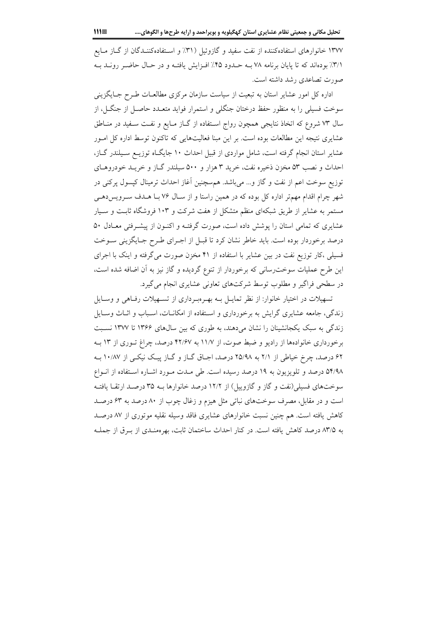۱۳۷۷ خانوارهای استفادهکننده از نفت سفید و گازوئیل (۳۱٪ و استفادهکننـدگان از گـاز مـایع ٣/١٪ بودهاند که تا پایان برنامه ٧٨ بــه حــدود ۴۵٪ افــزایش یافتــه و در حــال حاضــر رونــد بــه صورت تصاعدي رشد داشته است.

اداره کل امور عشایر استان به تبعیت از سیاست سازمان مرکزی مطالعـات طـرح جـایگزینی سوخت فسیلی را به منظور حفظ درختان جنگلی و استمرار فواید متعـدد حاصـل از جنگــل، از سال ۷۳ شروع که اتخاذ نتایجی همچون رواج اسـتفاده از گـاز مـایع و نفـت سـفید در منــاطق عشایری نتیجه این مطالعات بوده است. بر این مبنا فعالیتهایی که تاکنون توسط اداره کل امـور عشایر استان انجام گرفته است، شامل مواردی از قبیل احداث ۱۰ جایگاه توزیـع سـیلندر گـاز، احداث و نصب ۵۳ مخزن ذخیره نفت، خرید ۳ هزار و ۵۰۰ سیلندر گـاز و خریـد خودروهـای توزيع سوخت اعم از نفت و گاز و... مي باشد. هم سچنين آغاز احداث ترمينال كپسول پركني در شهر چرام اقدام مهمتر اداره کل بوده که در همین راستا و از سال ۷۶ بـا هـدف سـرویسدهـی مستمر به عشایر از طریق شبکهای منظم متشکل از هفت شرکت و ۱۰۳ فروشگاه ثابت و سـیار عشایری که تمامی استان را پوشش داده است، صورت گرفتـه و اکنـون از پیشـرفتی معـادل ۵۰ درصد برخوردار بوده است. باید خاطر نشان کرد تا قبـل از اجـرای طـرح جـایگزینی سـوخت فسیلی ،کار توزیع نفت در بین عشایر با استفاده از ۴۱ مخزن صورت میگرفته و اینک با اجرای این طرح عملیات سوخت٫سانی که برخوردار از تنوع گردیده و گاز نیز به آن اضافه شده است، در سطحی فراگیر و مطلوب توسط شرکتهای تعاونی عشایری انجام می گیرد.

تسهیلات در اختیار خانوار: از نظر تمایـل بـه بهـرهبـرداری از تسـهیلات رفـاهی و وسـایل زندگی، جامعه عشایری گرایش به برخورداری و استفاده از امکانـات، اسـباب و اثـاث وسـایل زندگی به سبک یکجانشینان را نشان میدهند، به طوری که بین سال های ۱۳۶۶ تا ۱۳۷۷ نسبت برخورداری خانوادهها از رادیو و ضبط صوت، از ۱۱/۷ به ۴۲/۶۷ درصد، چراغ تـوری از ۱۳ بـه ۶۲ درصد، چرخ خیاطی از ۲/۱ به ۲۵/۹۸ درصد، اجـاق گـاز و گـاز پيـک نيکـی از ۱۰/۸۷ بـه ۵۴/۹۸ درصد و تلویزیون به ۱۹ درصد رسیده است. طی مـدت مـورد اشـاره اسـتفاده از انـواع سوختهای فسیلی(نفت و گاز و گازوییل) از ۱۲/۲ درصد خانوارها بـه ۳۵ درصـد ارتقـا یافتـه است و در مقابل، مصرف سوختهای نباتی مثل هیزم و زغال چوب از ۸۰ درصد به ۶۳ درصد کاهش یافته است. هم چنین نسبت خانوارهای عشایری فاقد وسیله نقلیه موتوری از ۸۷ درصـد به ۸۳/۵ درصد كاهش يافته است. در كنار احداث ساختمان ثابت، بهرهمنـدي از بـرق از جملـه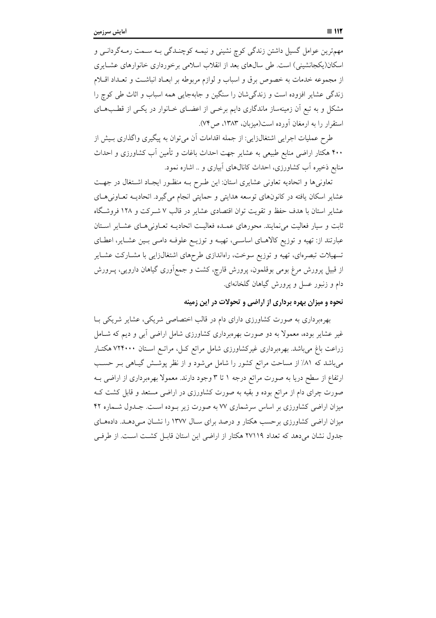مهمترین عوامل گسیل داشتن زندگی کوچ نشینی و نیمـه کوچنــدگی بــه ســمت رمــهگردانــی و اسکان(یکجانشینی) است. طی سالهای بعد از انقلاب اسلامی برخورداری خانوارهای عشـایری از مجموعه خدمات به خصوص برق و اسباب و لوازم مربوطه بر ابعـاد انباشـت و تعـداد اقــلام زندگی عشایر افزوده است و زندگی شان را سنگین و جابهجایی همه اسباب و اثاث طی کوچ را مشکل و به تبع آن زمینهساز ماندگاری دایم برخـی از اعضـای خــانوار در یکــی از قطـبهـای استقرار را به ارمغان آورده است(میزبان، ۱۳۸۳، ص۷۴).

طرح عملیات اجرایی اشتغالزایی: از جمله اقدامات آن میتوان به پیگیری واگذاری بـیش از ۴۰۰ هکتار اراضی منابع طبیعی به عشایر جهت احداث باغات و تأمین آب کشاورزی و احداث منابع ذخیره اَب کشاورزی، احداث کانالهای اَبیاری و .. اشاره نمود.

تعاونی ها و اتحادیه تعاونی عشایری استان: این طرح بـه منظـور ایجـاد اشـتغال در جهـت عشایر اسکان یافته در کانونهای توسعه هدایتی و حمایتی انجام میگیرد. اتحادیـه تعـاونی هـای عشایر استان با هدف حفظ و تقویت توان اقتصادی عشایر در قالب ۷ شـرکت و ۱۲۸ فروشگاه ثابت و سیار فعالیت می نمایند. محورهای عمـده فعالیـت اتحادیـه تعـاونی هـای عشـایر اسـتان عبارتند از: تهیه و توزیع کالاهـای اساسـی، تهیـه و توزیـع علوفـه دامـی بـین عشـایر، اعطـای تسهیلات تبصرهای، تهیه و توزیع سوخت، راهاندازی طرحهای اشتغال(ایی با مشــارکت عشــایر از قبیل پرورش مرغ بومی بوقلمون، پرورش قارِچ، کشت و جمع|َوری گیاهان دارویی، پــرورش دام و زنبور عسل و پرورش گیاهان گلخانهای.

# نحوه و میزان بهره برداری از اراضی و تحولات در این زمینه

بهرهبرداری به صورت کشاورزی دارای دام در قالب اختصاصی شریکی، عشایر شریکی بـا غیر عشایر بوده، معمولاً به دو صورت بهرهبرداری کشاورزی شامل اراضی آبی و دیم که شـامل زراعت باغ میباشد. بهرهبرداری غیرکشاورزی شامل مراتع کــل، مراتــع اســتان ۷۲۴۰۰۰ هکتــار میباشد که ۸۱٪ از مساحت مراتع کشور را شامل میشود و از نظر پوشش گیـاهی بـر حسـب ارتفاع از سطح دریا به صورت مراتع درجه ۱ تا ۳ وجود دارند. معمولا بهرهبرداری از اراضی بـه صورت چرای دام از مراتع بوده و بقیه به صورت کشاورزی در اراضی مستعد و قابل کشت ک میزان اراضی کشاورزی بر اساس سرشماری ۷۷ به صورت زیر بوده است. جـدول شـماره ۴۲ میزان اراضی کشاورزی برحسب هکتار و درصد برای سـال ۱۳۷۷ را نشـان مـی(هـد. دادههـای جدول نشان میدهد که تعداد ٢٧١١٩ هکتار از اراضی این استان قابـل کشـت اسـت. از طرفـی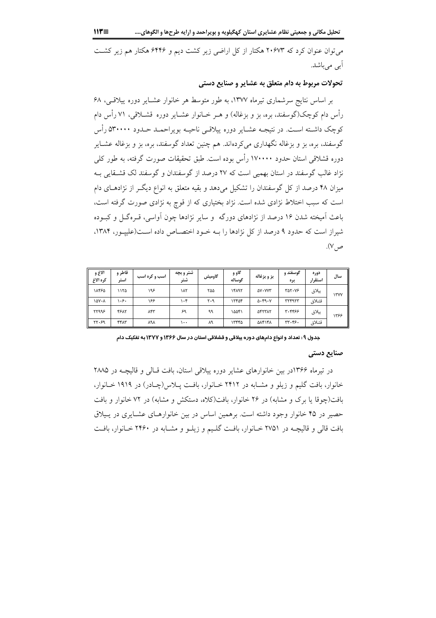می توان عنوان کرد که ۲۰۶۷۳ هکتار از کل اراضی زیر کشت دیم و ۶۴۴۶ هکتار هم زیر کشت آبے ٖ مے باشد.

## تحولات مربوط به دام متعلق به عشاير و صنايع دستي

بر اساس نتایج سرشماری تیرماه ۱۳۷۷، به طور متوسط هر خانوار عشـایر دوره پیلاقـی، ۶۸ رأس دام کوچک(گوسفند، بره، بز و بزغاله) و هـر خــانوار عشــاير دوره قشــلاقي، ۷۱ رأس دام کوچک داشته است. در نتیجـه عشـایر دوره پیلاقـی ناحیـه بویراحمـد حـدود ۵۳۰۰۰۰ رأس گوسفند، بره، بز و بزغاله نگهداری میکردهاند. هم چنین تعداد گوسفند، بره، بز و بزغاله عشـایر دوره قشلاقی استان حدود ۱۷۰۰۰۰ رأس بوده است. طبق تحقیقات صورت گرفته، به طور کلی نژاد غالب گوسفند در استان بهمیی است که ۲۷ درصد از گوسفندان و گوسفند لک قشـقایی بـه میزان ۴۸ درصد از کل گوسفندان را تشکیل میدهد و بقیه متعلق به انواع دیگـر از نژادهـای دام است که سبب اختلاط نژادی شده است. نژاد بختیاری که از قوچ به نژادی صورت گرفته است، باعث اَمیخته شدن ۱۶ درصد از نژادهای دورگه ً و سایر نژادها چون اَواسی، قـرهگـل و کبـوده شیراز است که حدود ۹ درصد از کل نژادها را بـه خـود اختصـاص داده اسـت(علیپـور، ۱۳۸۴، ص ۷).

| الاغ و<br>كره الاغ | قاطر و<br>استر | اسب و کره اسب | شتر و بچه<br>شتر | گاومیش | گاو و<br>گوساله | بز و بزغاله            | گوسفند و<br>بره | دوره<br>استقرار | سال         |
|--------------------|----------------|---------------|------------------|--------|-----------------|------------------------|-----------------|-----------------|-------------|
| ١٨۴۶۵              | ۱۱۲۵           | ۱۹۶           | ۱۸۲              | ۲۵۵    | ١۴٨٩٢           | $\Delta V \cdot V V T$ | ٣۵٢٠٧۶          | يبلاق           | <b>ITYY</b> |
| ١۵٧٠٨              | ۱۰۶۰           | ۱۶۶           | ۱۰۴              | ۲۰۹    | ۱۲۴۵۴           | $\Delta$ - $4.4$       | <b>TYF9TT</b>   | قشلاق           |             |
| ۲۲۹۹۶              | 4517           | ۸۴۳           | ۶۹               | ۹۹     | ۱۵۵۴۱           | <b>AFTTAT</b>          | 3377.4          | ييلاق           | ۱۳۶۶        |
| ۲۲.۶۹              | ۴۴٨٣           | ٨٩٨           | ۱۰۰              | ٨٩     | ۱۳۴۴۵           | ۵۸۴۱۴۸                 | ٣٣.۴۶.          | قشلاق           |             |

جدول ۹ : تعداد و انواع دامهای دوره ییلاقی و قشلاقی استان در سال ۱۳۶۶ و ۱۳۷۷ به تفکیک دام

#### صنایع دستی

در تیرماه ۱۳۶۶در بین خانوارهای عشایر دوره پیلاقی استان، بافت قـالی و قالیچـه در ۲۸۸۵ خانوار، بافت گلیم و زیلو و مشـابه در ۲۴۱۲ خـانوار، بافـت پـلاس(چـادر) در ۱۹۱۹ خـانوار، بافت(چوقا یا برک و مشابه) در ۲۶ خانوار، بافت(کلاه، دستکش و مشابه) در ۷۲ خانوار و بافت حصیر در ۴۵ خانوار وجود داشته است. برهمین اساس در بین خانوارهـای عشـایری در پـیلاق بافت قالي و قاليچـه در ۲۷۵۱ خـانوار، بافـت گلـيم و زيلـو و مشـابه در ۲۴۶۰ خـانوار، بافـت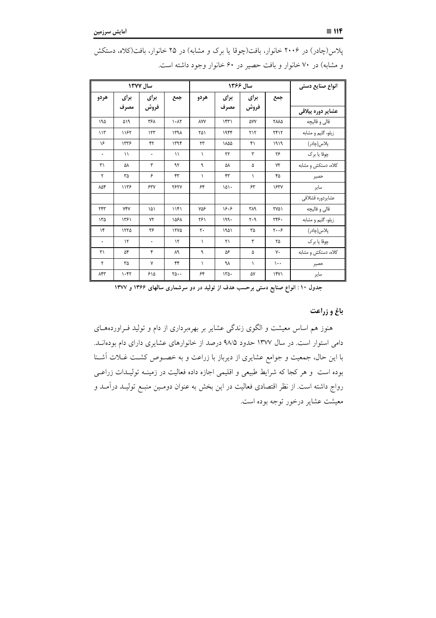|               |               | سال ۱۳۷۷     |                                       |            |                            | سال ۱۳۶۶                      |                               | انواع صنايع دستي          |
|---------------|---------------|--------------|---------------------------------------|------------|----------------------------|-------------------------------|-------------------------------|---------------------------|
| هردو          | برای          | برای         | جمع                                   | هردو       | برای                       | برای                          | جمع                           |                           |
|               | مصرف          | فروش         |                                       |            | مصرف                       | فروش                          |                               | عشاير دوره ييلاق <i>ي</i> |
| ۱۹۵           | ۵۱۹           | ٣۶٨          | $\lambda - \lambda \tau$              | <b>AYY</b> | $\mathcal{N}(\mathcal{K})$ | ۵٧٧                           | <b>TAA0</b>                   | قالي و قاليچه             |
| 115           | ١١۶٢          | 157          | ۱۳۹۸                                  | ۲۵۱        | ۱۹۴۴                       | $Y \setminus Y$               | YfY                           | زیلو، گلیم و مشابه        |
| ۱۶            | 1775          | ۴٢           | ۱۳۹۴                                  | ٢٣         | ١٨۵۵                       | ۴١                            | 1919                          | پلاس(چادر)                |
| $\bullet$     | $\setminus$   | $\bullet$    | $\setminus$                           | $\lambda$  | ٢٢                         | ٣                             | ۲۶                            | چوقا يا برک               |
| $\mathbf{r}'$ | ۵٨            | ٣            | ۹۲                                    | ٩          | ۵٨                         | ۵                             | $Y\Upsilon$                   | کلاه، دستکش و مشابه       |
| ٢             | ٣۵            | ۶            | ۴٣                                    | $\lambda$  | ۴۳                         | $\lambda$                     | ۴۵                            | حصير                      |
| ۸۵۴           | 1175          | 54V          | <b>٢۶٢٧</b>                           | ۶۴         | $101 -$                    | ۶۳                            | 1837                          | ساير                      |
|               |               |              |                                       |            |                            |                               |                               | عشايردوره قشلاقى          |
| ٢۴٣           | <b>YFY</b>    | ۱۵۱          | 11f1                                  | ٧۵۶        | 15.5                       | ۳۸۹                           | <b>٢٧٥١</b>                   | قالي و قاليچه             |
| ۱۳۵           | ۱۳۶۱          | ٧٢           | ۱۵۶۸                                  | ۲۶۱        | ۱۹۹۰                       | $\mathbf{y} \cdot \mathbf{q}$ | ٢۴۶.                          | زیلو، گلیم و مشابه        |
| $\mathcal{N}$ | ١٢٢٥          | ۳۶           | 1570                                  | ٢٠         | ۱۹۵۱                       | ٣۵                            | $\mathbf{y} \cdot \mathbf{z}$ | پلاس(چادر)                |
| $\bullet$     | $\mathcal{N}$ | ۰            | $\mathcal{N}$                         | $\lambda$  | ۲۱                         | ٣                             | ٢۵                            | چوقا يا برک               |
| ٣١            | ۵۴            | ۴            | ٨٩                                    | ٩          | ۵۶                         | ۵                             | ٧٠                            | كلاه، دستكش و مشابه       |
| ٢             | ۳۵            | $\mathsf{v}$ | ۴۴                                    | $\lambda$  | ٩٨                         | $\lambda$                     | $\mathcal{L}$ .               | حصير                      |
| ۸۴۳           | $\cdot$ ۴۲    | ۶۱۵          | $\mathbf{Y}\mathbf{0}\cdot\mathbf{0}$ | ۶۴         | $150 -$                    | ۵٧                            | YY                            | ساير                      |

یلاس(چادر) در ۲۰۰۶ خانوار، بافت(چوقا یا برک و مشابه) در ۲۵ خانوار، بافت(کلاه، دستکش و مشابه) در ۷۰ خانوار و بافت حصیر در ۶۰ خانوار وجود داشته است.

جدول ۱۰: انواع صنایع دستی برحسب هدف از تولید در دو سرشماری سالهای ۱۳۶۶ و ۱۳۷۷

## باغ و زراعت

هنوز هم اساس معیشت و الگوی زندگی عشایر بر بهرهبرداری از دام و تولید فـراوردههــای دامی استوار است. در سال ۱۳۷۷ حدود ۹۸/۵ درصد از خانوارهای عشایری دارای دام بودهانــد. با این حال، جمعیت و جوامع عشایری از دیرباز با زراعت و به خصـوص کشـت غـلات آشـنا بوده است و هر كجا كه شرايط طبيعي و اقليمي اجازه داده فعاليت در زمينـه توليـدات زراعـي رواج داشته است. از نظر اقتصادی فعالیت در این بخش به عنوان دومـین منبـع تولیـد درآمـد و معیشت عشایر درخور توجه بوده است.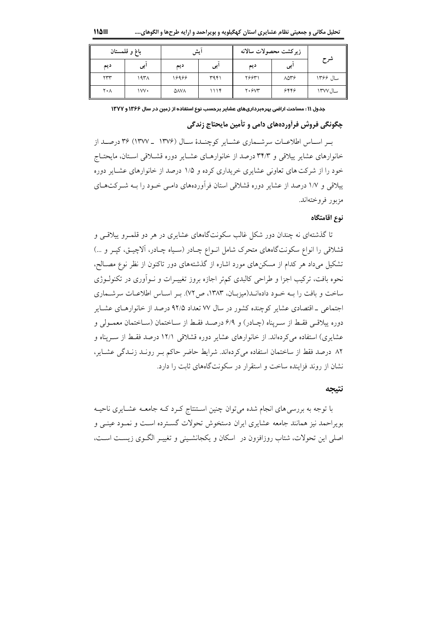|     | باغ و قلمستان | زيركشت محصولات سالانه<br>ايش |      |        |      |          |
|-----|---------------|------------------------------|------|--------|------|----------|
| ديم | ابى           | ديم                          | ا پی | ديم    | ا پی | شرح      |
| ٢٣٣ | ۱۹۳۸          | ۱۶۹۶۶                        | ۳۹۴۱ | ۲۶۶۳۱  | 8006 | سال ۱۳۶۶ |
| ۲۰۸ | ۱۷V۰          | ΔΛΥΛ                         | ۱۱۱۴ | Y.5Y'' | 8889 | سال ۱۳۷۷ |

جدول ۱۱ : مساحت اراضی بهرهبرداریهای عشایر برحسب نوع استفاده از زمین در سال ۱۳۶۶ و ۱۳۷۷

# چگونگي فروش فرآوردههاي دامي و تأمين مايحتاج زندگي

به اساس اطلاعیات سرشیماری عشیایر کوچنیدهٔ سیال (۱۳۷۶ - ۱۳۷۷) ۳۶ درصید از خانوارهای عشایر پیلاقی و ۳۴/۳ درصد از خانوارهـای عشـایر دوره قشـلاقی اسـتان، مایحتـاج خود را از شرکت های تعاونی عشایری خریداری کرده و ۱/۵ درصد از خانوارهای عشبایر دوره ییلاقی و ۱/۷ درصد از عشایر دوره قشلاقی استان فرآوردههای دامـی خـود را بـه شـرکتهـای مزبور فروختهاند.

#### نوع اقامتگاه

تا گذشتهای نه چندان دور شکل غالب سکونتگاههای عشایری در هر دو قلمـرو پیلاقـی و قشلاقی را انواع سکونتگاههای متحرک شامل انــواع چــادر (ســياه چــادر، آلاچيــق، کپــر و …) تشکیل میداد هر کدام از مسکنهای مورد اشاره از گذشتههای دور تاکنون از نظر نوع مصـالح، نحوه بافت، ترکیب اجزا و طراحی کالبدی کمتر اجازه بروز تغییـرات و نــواّوری در تکنولــوژی ساخت و یافت را بـه خـود دادهانــد(میزبــان، ۱۳۸۳، ص ۷۲). بـر اسـاس اطلاعــات سرشــماری اجتماعی ـ اقتصادی عشایر کوچنده کشور در سال ۷۷ تعداد ۹۲/۵ درصد از خانوارهـای عشـایر دوره ييلاقبي فقبط از سبريناه (چيادر) و ۶/۹ درصيد فقبط از سياختمان (سياختمان معمبولي و عشایری) استفاده میکردهاند. از خانوارهای عشایر دوره قشلاقی ۱۲/۱ درصد فقط از سـریناه و ٨٢ درصد فقط از ساختمان استفاده مي كردهاند. شرايط حاضر حاكم بير رونيد زنيدگي عشياير، نشان از روند فزاینده ساخت و استقرار در سکونتگاههای ثابت را دارد.

#### نتيجه

با توجه به بررسی های انجام شده می توان چنین اسـتنتاج کـرد کـه جامعـه عشـایری ناحیـه بویراحمد نیز همانند جامعه عشایری ایران دستخوش تحولات گسترده است و نمـود عینـی و اصلي اين تحولات، شتاب روزافزون در اسكان و يكجانشـيني و تغييـر الگـوي زيسـت اسـت،

118回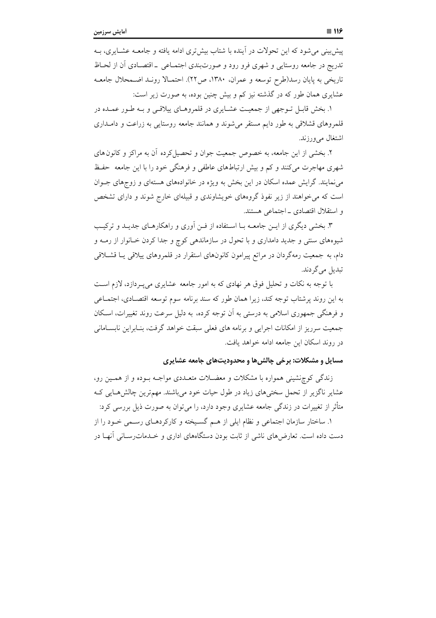۱. بخش قابـل تـوجهي از جمعيـت عشـايري در قلمروهـاي پيلاقـي و بـه طـور عمـده در قلمروهای قشلاقی به طور دایم مستقر میشوند و همانند جامعه روستایی به زراعت و دامـداری اشتغال مىورزند.

۲. بخشی از این جامعه، به خصوص جمعیت جوان و تحصیل کرده آن به مراکز و کانون های شهری مهاجرت میکنند و کم و بیش ارتباطهای عاطفی و فرهنگی خود را با این جامعه حفظ می نمایند. گرایش عمده اسکان در این بخش به ویژه در خانوادههای هستهای و زوجهای جـوان است که می خواهند از زیر نفوذ گروههای خویشاوندی و قبیلهای خارج شوند و دارای تشخص و استقلال اقتصادي \_ اجتماعي هستند.

۳. بخشی دیگری از ایــن جامعــه بــا اســتفاده از فــن اَوری و راهکارهــای جدیــد و ترکیــب شیوههای سنتی و جدید دامداری و با تحول در سازماندهی کوچ و جدا کردن خـانوار از رمــه و دام، به جمعیت رمهگردان در مراتع پیرامون کانونهای استقرار در قلمروهای ییلاقی یـا قشــلاقی تبديل مي گر دند.

با توجه به نکات و تحلیل فوق هر نهادی که به امور جامعه عشایری میپردازد، لازم است به این روند پرشتاب توجه کند، زیرا همان طور که سند برنامه سوم توسعه اقتصـادی، اجتمـاعی و فرهنگی جمهوری اسلامی به درستی به آن توجه کرده، به دلیل سرعت روند تغییرات، اسکان جمعیت سرریز از امکانات اجرایی و برنامه های فعلی سبقت خواهد گرفت، بنـابراین نابسـامانی در روند اسکان این جامعه ادامه خواهد یافت.

## مسایل و مشکلات: برخی چالش ها و محدودیتهای جامعه عشایری

زندگی کوچنشینی همواره با مشکلات و معضـلات متعـلدی مواجـه بـوده و از همـین رو، عشایر ناگزیر از تحمل سختیهای زیاد در طول حیات خود میباشند. مهمترین چالشهایی ک متأثر از تغییرات در زندگی جامعه عشایری وجود دارد، را می توان به صورت ذیل بررسی کرد:

۱. ساختار سازمان اجتماعی و نظام ایلی از هـم گسـیخته و کارکردهـای رسـمی خـود را از دست داده است. تعارضهای ناشی از ثابت بودن دستگاههای اداری و خــدمات٫ســانی آنهــا در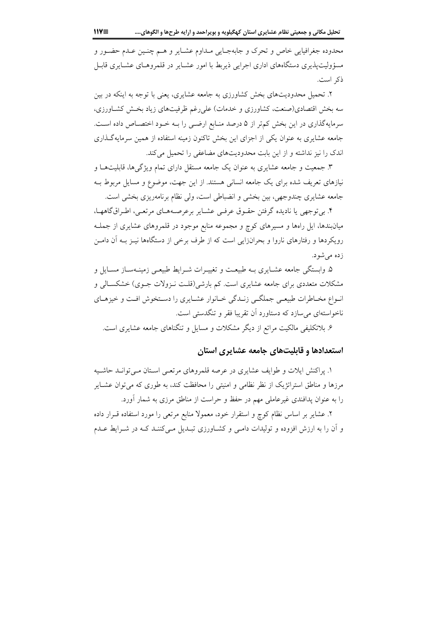محدوده جغرافیایی خاص و تحرک و جابهجـایی مـداوم عشـایر و هـم چنـین عـدم حضـور و مسؤولیتپذیری دستگاههای اداری اجرایی ذیربط با امور عشـایر در قلمروهـای عشـایری قابـل ذكر است.

۲. تحمیل محدودیتهای بخش کشاورزی به جامعه عشایری، یعنی با توجه به اینکه در بین سه بخش اقتصادی(صنعت، کشاورزی و خدمات) علی رغم ظرفیتهای زیاد بخش کشـاورزی، سرمایهگذاری در این بخش کمتر از ۵ درصد منـابع ارضـی را بـه خـود اختصـاص داده اسـت. جامعه عشایری به عنوان یکی از اجزای این بخش تاکنون زمینه استفاده از همین سرمایهگذاری اندک را نیز نداشته و از این بابت محدودیتهای مضاعفی را تحمیل میکند.

۳. جمعیت و جامعه عشایری به عنوان یک جامعه مستقل دارای تمام ویژگیها، قابلیتها و نیازهای تعریف شده برای یک جامعه انسانی هستند. از این جهت، موضوع و مسایل مربوط بـه جامعه عشایری چندوجهی، بین بخشی و انضباطی است، ولی نظام برنامهریزی بخشی است.

۴. بی توجهی یا نادیده گرفتن حقـوق عرفـی عشـایر برعرصـههـای مرتعـی، اطـراق گاههـا، میانبندها، ایل راهها و مسیرهای کوچ و مجموعه منابع موجود در قلمروهای عشایری از جملـه رویکردها و رفتارهای ناروا و بحرانزایی است که از طرف برخی از دستگاهها نیـز بـه آن دامـن زده مرشود.

۵. وابستگی جامعه عشـایری بـه طبیعـت و تغییـرات شـرایط طبیعـی زمینـهسـاز مسـایل و مشکلات متعددی برای جامعه عشایری است. کم بارشی(قلت نـزولات جـوی) خشکسـالی و انواع مخـاطرات طبيعـي جملگـي زنـدگي خـانوار عشـايري را دسـتخوش افـت و خيزهـاي ناخواستهای می سازد که دستاورد آن تقریبا فقر و تنگدستی است.

۶. بلاتکلیفی مالکیت مراتع از دیگر مشکلات و مسایل و تنگناهای جامعه عشایری است.

# استعدادها و قابلیتهای جامعه عشایری استان

۱. پراکنش ایلات و طوایف عشایری در عرصه قلمروهای مرتعبی اسـتان مـی توانـد حاشـیه مرزها و مناطق استراتژیک از نظر نظامی و امنیتی را محافظت کند، به طوری که می توان عشـایر را به عنوان پدافندی غیرعاملی مهم در حفظ و حراست از مناطق مرزی به شمار آورد.

۲. عشایر بر اساس نظام کوچ و استقرار خود، معمولاً منابع مرتعی را مورد استفاده قـرار داده و آن را به ارزش افزوده و تولیدات دامـی و کشـاورزی تبـدیل مـیکننـد کـه در شـرایط عـدم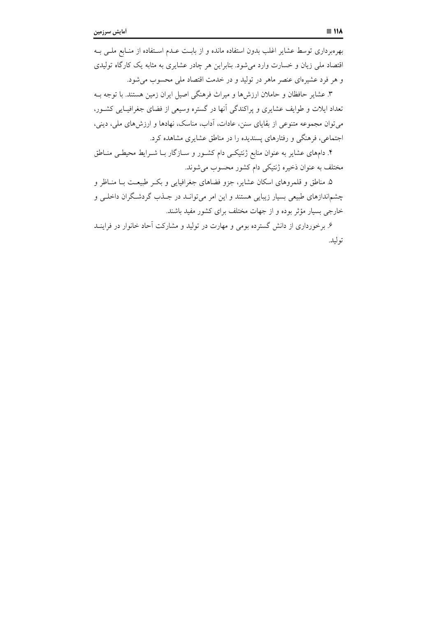بهرهبرداری توسط عشایر اغلب بدون استفاده مانده و از بابـت عـدم اسـتفاده از منـابع ملـی بـه اقتصاد ملي زيان و خسارت وارد مي شود. بنابراين هر چادر عشايري به مثابه يک کارگاه توليدي و هر فرد عشیرهای عنصر ماهر در تولید و در خدمت اقتصاد ملی محسوب می شود.

۳. عشایر حافظان و حاملان ارزشها و میراث فرهنگی اصیل ایران زمین هستند. با توجه بـه تعداد ایلات و طوایف عشایری و پراکندگی آنها در گستره وسیعی از فضای جغرافیـایی کشــور، می توان مجموعه متنوعی از بقایای سنن، عادات، آداب، مناسک، نهادها و ارزشهای ملی، دینی، اجتماعی، فرهنگی و رفتارهای پسندیده را در مناطق عشایری مشاهده کرد.

۴. دامهای عشایر به عنوان منابع ژنتیکــی دام کشــور و ســازگار بــا شــرایط محیطــی منــاطق مختلف به عنوان ذخیره ژنتیکی دام کشور محسوب میشوند.

۵. مناطق و قلمروهای اسکان عشایر، جزو فضاهای جغرافیایی و بکـر طبیعـت بــا منــاظر و چشماندازهای طبیعی بسیار زیبایی هستند و این امر میتوانـد در جـذب گردشـگران داخلـم و خارجی بسیار مؤثر بوده و از جهات مختلف برای کشور مفید باشند.

۶. برخورداری از دانش گسترده بومی و مهارت در تولید و مشارکت آحاد خانوار در فراینــد توليد.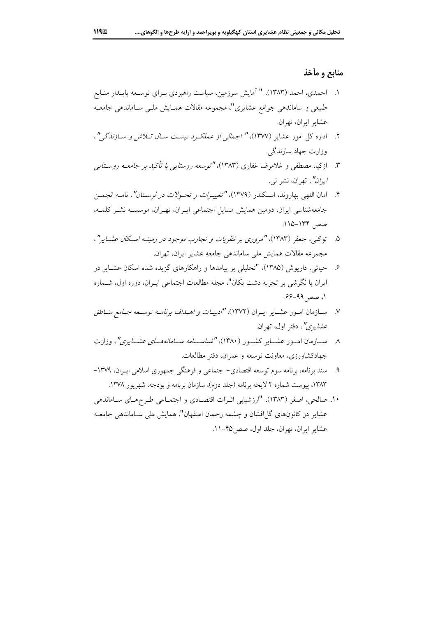## منابع و مأخذ

- ۱. احمدی، احمد (۱۳۸۳)، " اَمایش سرزمین، سیاست راهبردی بــرای توســعه پایــدار منــابع طبیعی و ساماندهی جوامع عشایری"، مجموعه مقالات همـایش ملـی سـاماندهی جامعـه عشاير ايران، تهران.
- ۲. اداره کل امور عشایر (۱۳۷۷)، *" اجمالی از عملک دیست سال ت*لا*ش و سازندگی"*، وزارت جهاد سازندگی.
- ۳. اذ کیا، مصطفی و غلام ضا غفادی (۱۳۸۳)، "توسع*ه دوستایی یا تأکید پر جامع*ه ر*وستایی ايران"*، تهران، نشر نبي.
- ۴. امان اللهي بهاروند، اسكندر (١٣٧٩)، "تغييـر*ات و تحـولات در لرسـتان"*، نامـه انجمـن جامعهشناسی ایران، دومین همایش مسایل اجتماعی ایـران، تهـران، موسسـه نشـر کلمـه، صص ١٣۴-١١٥.
- ۵. \_ تو کلی، جعفر (۱۳۸۳)، "مروری بر نظریات و تجارب موجود در زمینه اسکان عشبایر"، مجموعه مقالات همایش ملی ساماندهی جامعه عشایر ایران، تهران.
- ۶. حیاتی، داریوش (۱۳۸۵)، "تحلیلی بر پیامدها و راهکارهای گزیده شده اسکان عشـایر در ایران با نگرشی بر تجربه دشت بکان"، مجله مطالعات اجتماعی ایــران، دوره اول، شــماره ۱، صص ۹۹–۶۶.
- ۷. ســازمان امــور عشــاير ايــران (۱۳۷۲)، *"ادبيــات و اهـــداف برنامــه توســعه جــامع منــاطق* عش*ایری"*، دفتر اول، ت<u>هر</u>ان.
- ۸ \_ ســـازمان امـــور عشـــاير كشـــور (۱۳۸۰)، *"شناســـنامه ســـامانههـــاي عشـــايري"*، وزارت جهادکشاورزی، معاونت توسعه و عمران، دفتر مطالعات.
- ۹. سند برنامه، برنامه سوم توسعه اقتصادي- اجتماعي و فرهنگي جمهوري اسلامي ايـران، ۱۳۷۹-۱۳۸۳، پیوست شماره ۲ لایحه برنامه (جلد دوم)، سازمان برنامه و بودجه، شهریور ۱۳۷۸.
- ۱۰. صالحی، اصغر (۱۳۸۳)، "ارزشیابی اثـرات اقتصـادی و اجتمـاعی طـرحهـای سـاماندهی عشاير در كانونهاي گل(فشان و چشمه رحمان اصفهان"، همايش ملي سـاماندهي جامعـه عشاير ايران، تهران، جلد اول، صص10-١١.